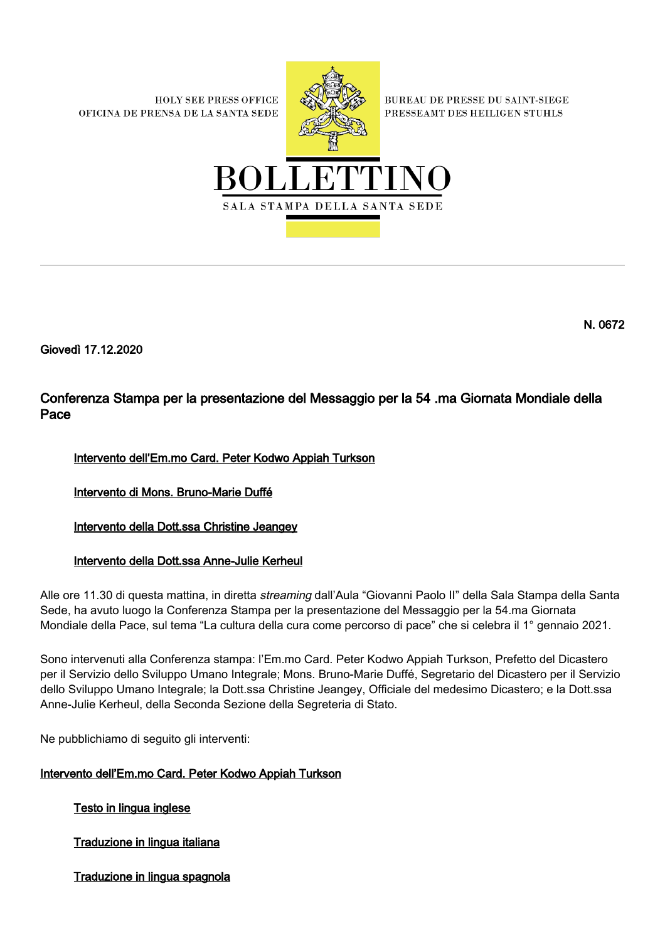**HOLY SEE PRESS OFFICE** OFICINA DE PRENSA DE LA SANTA SEDE



**BUREAU DE PRESSE DU SAINT-SIEGE** PRESSEAMT DES HEILIGEN STUHLS



N. 0672

Giovedì 17.12.2020

Conferenza Stampa per la presentazione del Messaggio per la 54 .ma Giornata Mondiale della Pace

# Intervento dell'Em.mo Card. Peter Kodwo Appiah Turkson

Intervento di Mons. Bruno-Marie Duffé

Intervento della Dott.ssa Christine Jeangey

# Intervento della Dott.ssa Anne-Julie Kerheul

Alle ore 11.30 di questa mattina, in diretta *streaming* dall'Aula "Giovanni Paolo II" della Sala Stampa della Santa Sede, ha avuto luogo la Conferenza Stampa per la presentazione del Messaggio per la 54.ma Giornata Mondiale della Pace, sul tema "La cultura della cura come percorso di pace" che si celebra il 1° gennaio 2021.

Sono intervenuti alla Conferenza stampa: l'Em.mo Card. Peter Kodwo Appiah Turkson, Prefetto del Dicastero per il Servizio dello Sviluppo Umano Integrale; Mons. Bruno-Marie Duffé, Segretario del Dicastero per il Servizio dello Sviluppo Umano Integrale; la Dott.ssa Christine Jeangey, Officiale del medesimo Dicastero; e la Dott.ssa Anne-Julie Kerheul, della Seconda Sezione della Segreteria di Stato.

Ne pubblichiamo di seguito gli interventi:

# Intervento dell'Em.mo Card. Peter Kodwo Appiah Turkson

Testo in lingua inglese

Traduzione in lingua italiana

Traduzione in lingua spagnola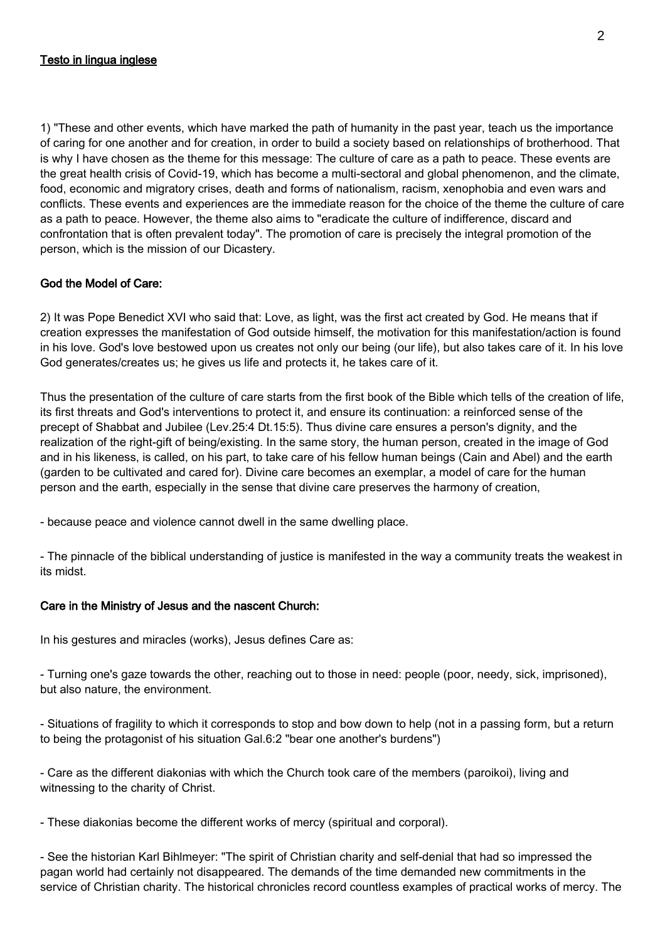## Testo in lingua inglese

1) "These and other events, which have marked the path of humanity in the past year, teach us the importance of caring for one another and for creation, in order to build a society based on relationships of brotherhood. That is why I have chosen as the theme for this message: The culture of care as a path to peace. These events are the great health crisis of Covid-19, which has become a multi-sectoral and global phenomenon, and the climate, food, economic and migratory crises, death and forms of nationalism, racism, xenophobia and even wars and conflicts. These events and experiences are the immediate reason for the choice of the theme the culture of care as a path to peace. However, the theme also aims to "eradicate the culture of indifference, discard and confrontation that is often prevalent today". The promotion of care is precisely the integral promotion of the person, which is the mission of our Dicastery.

## God the Model of Care:

2) It was Pope Benedict XVI who said that: Love, as light, was the first act created by God. He means that if creation expresses the manifestation of God outside himself, the motivation for this manifestation/action is found in his love. God's love bestowed upon us creates not only our being (our life), but also takes care of it. In his love God generates/creates us; he gives us life and protects it, he takes care of it.

Thus the presentation of the culture of care starts from the first book of the Bible which tells of the creation of life, its first threats and God's interventions to protect it, and ensure its continuation: a reinforced sense of the precept of Shabbat and Jubilee (Lev.25:4 Dt.15:5). Thus divine care ensures a person's dignity, and the realization of the right-gift of being/existing. In the same story, the human person, created in the image of God and in his likeness, is called, on his part, to take care of his fellow human beings (Cain and Abel) and the earth (garden to be cultivated and cared for). Divine care becomes an exemplar, a model of care for the human person and the earth, especially in the sense that divine care preserves the harmony of creation,

- because peace and violence cannot dwell in the same dwelling place.

- The pinnacle of the biblical understanding of justice is manifested in the way a community treats the weakest in its midst.

## Care in the Ministry of Jesus and the nascent Church:

In his gestures and miracles (works), Jesus defines Care as:

- Turning one's gaze towards the other, reaching out to those in need: people (poor, needy, sick, imprisoned), but also nature, the environment.

- Situations of fragility to which it corresponds to stop and bow down to help (not in a passing form, but a return to being the protagonist of his situation Gal.6:2 "bear one another's burdens")

- Care as the different diakonias with which the Church took care of the members (paroikoi), living and witnessing to the charity of Christ.

- These diakonias become the different works of mercy (spiritual and corporal).

- See the historian Karl Bihlmeyer: "The spirit of Christian charity and self-denial that had so impressed the pagan world had certainly not disappeared. The demands of the time demanded new commitments in the service of Christian charity. The historical chronicles record countless examples of practical works of mercy. The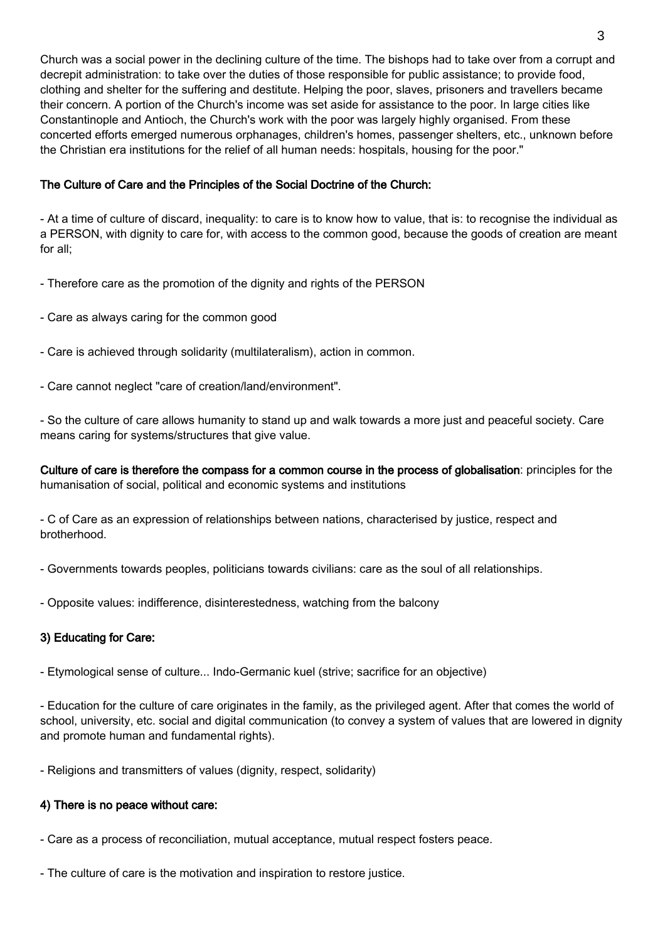Church was a social power in the declining culture of the time. The bishops had to take over from a corrupt and decrepit administration: to take over the duties of those responsible for public assistance; to provide food, clothing and shelter for the suffering and destitute. Helping the poor, slaves, prisoners and travellers became their concern. A portion of the Church's income was set aside for assistance to the poor. In large cities like Constantinople and Antioch, the Church's work with the poor was largely highly organised. From these concerted efforts emerged numerous orphanages, children's homes, passenger shelters, etc., unknown before the Christian era institutions for the relief of all human needs: hospitals, housing for the poor."

## The Culture of Care and the Principles of the Social Doctrine of the Church:

- At a time of culture of discard, inequality: to care is to know how to value, that is: to recognise the individual as a PERSON, with dignity to care for, with access to the common good, because the goods of creation are meant for all;

- Therefore care as the promotion of the dignity and rights of the PERSON
- Care as always caring for the common good
- Care is achieved through solidarity (multilateralism), action in common.
- Care cannot neglect "care of creation/land/environment".

- So the culture of care allows humanity to stand up and walk towards a more just and peaceful society. Care means caring for systems/structures that give value.

Culture of care is therefore the compass for a common course in the process of globalisation: principles for the humanisation of social, political and economic systems and institutions

- C of Care as an expression of relationships between nations, characterised by justice, respect and brotherhood.

- Governments towards peoples, politicians towards civilians: care as the soul of all relationships.

- Opposite values: indifference, disinterestedness, watching from the balcony

# 3) Educating for Care:

- Etymological sense of culture... Indo-Germanic kuel (strive; sacrifice for an objective)

- Education for the culture of care originates in the family, as the privileged agent. After that comes the world of school, university, etc. social and digital communication (to convey a system of values that are lowered in dignity and promote human and fundamental rights).

- Religions and transmitters of values (dignity, respect, solidarity)

## 4) There is no peace without care:

- Care as a process of reconciliation, mutual acceptance, mutual respect fosters peace.

- The culture of care is the motivation and inspiration to restore justice.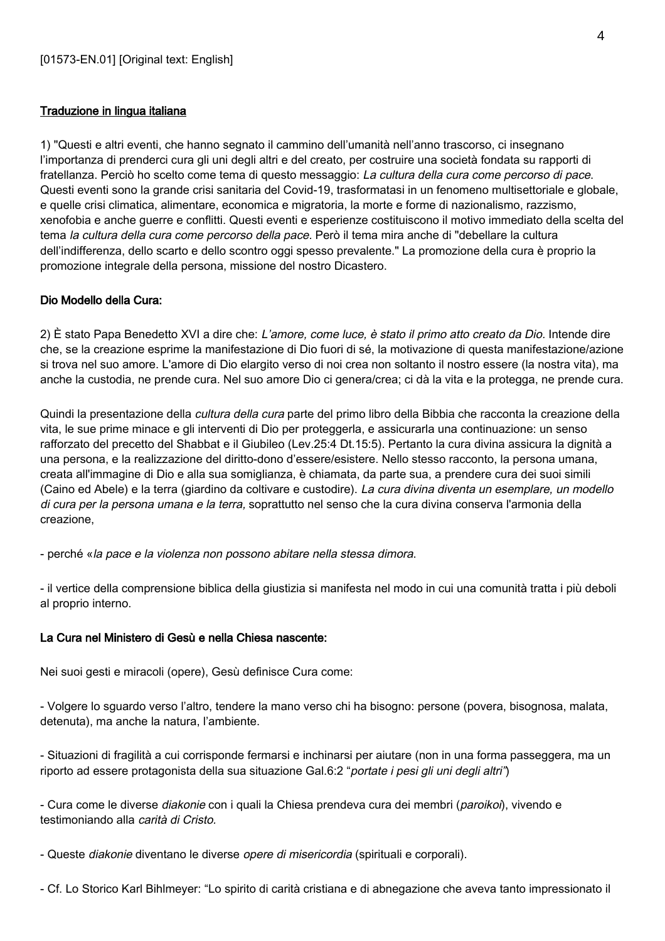### Traduzione in lingua italiana

1) "Questi e altri eventi, che hanno segnato il cammino dell'umanità nell'anno trascorso, ci insegnano l'importanza di prenderci cura gli uni degli altri e del creato, per costruire una società fondata su rapporti di fratellanza. Perciò ho scelto come tema di questo messaggio: La cultura della cura come percorso di pace. Questi eventi sono la grande crisi sanitaria del Covid-19, trasformatasi in un fenomeno multisettoriale e globale, e quelle crisi climatica, alimentare, economica e migratoria, la morte e forme di nazionalismo, razzismo, xenofobia e anche guerre e conflitti. Questi eventi e esperienze costituiscono il motivo immediato della scelta del tema la cultura della cura come percorso della pace. Però il tema mira anche di "debellare la cultura dell'indifferenza, dello scarto e dello scontro oggi spesso prevalente." La promozione della cura è proprio la promozione integrale della persona, missione del nostro Dicastero.

#### Dio Modello della Cura:

2) È stato Papa Benedetto XVI a dire che: L'amore, come luce, è stato il primo atto creato da Dio. Intende dire che, se la creazione esprime la manifestazione di Dio fuori di sé, la motivazione di questa manifestazione/azione si trova nel suo amore. L'amore di Dio elargito verso di noi crea non soltanto il nostro essere (la nostra vita), ma anche la custodia, ne prende cura. Nel suo amore Dio ci genera/crea; ci dà la vita e la protegga, ne prende cura.

Quindi la presentazione della *cultura della cura* parte del primo libro della Bibbia che racconta la creazione della vita, le sue prime minace e gli interventi di Dio per proteggerla, e assicurarla una continuazione: un senso rafforzato del precetto del Shabbat e il Giubileo (Lev.25:4 Dt.15:5). Pertanto la cura divina assicura la dignità a una persona, e la realizzazione del diritto-dono d'essere/esistere. Nello stesso racconto, la persona umana, creata all'immagine di Dio e alla sua somiglianza, è chiamata, da parte sua, a prendere cura dei suoi simili (Caino ed Abele) e la terra (giardino da coltivare e custodire). La cura divina diventa un esemplare, un modello di cura per la persona umana e la terra, soprattutto nel senso che la cura divina conserva l'armonia della creazione,

- perché «la pace e la violenza non possono abitare nella stessa dimora.

- il vertice della comprensione biblica della giustizia si manifesta nel modo in cui una comunità tratta i più deboli al proprio interno.

#### La Cura nel Ministero di Gesù e nella Chiesa nascente:

Nei suoi gesti e miracoli (opere), Gesù definisce Cura come:

- Volgere lo sguardo verso l'altro, tendere la mano verso chi ha bisogno: persone (povera, bisognosa, malata, detenuta), ma anche la natura, l'ambiente.

- Situazioni di fragilità a cui corrisponde fermarsi e inchinarsi per aiutare (non in una forma passeggera, ma un riporto ad essere protagonista della sua situazione Gal.6:2 "portate i pesi gli uni degli altri")

- Cura come le diverse *diakonie* con i quali la Chiesa prendeva cura dei membri (*paroikoi*), vivendo e testimoniando alla carità di Cristo.

- Queste diakonie diventano le diverse opere di misericordia (spirituali e corporali).

- Cf. Lo Storico Karl Bihlmeyer: "Lo spirito di carità cristiana e di abnegazione che aveva tanto impressionato il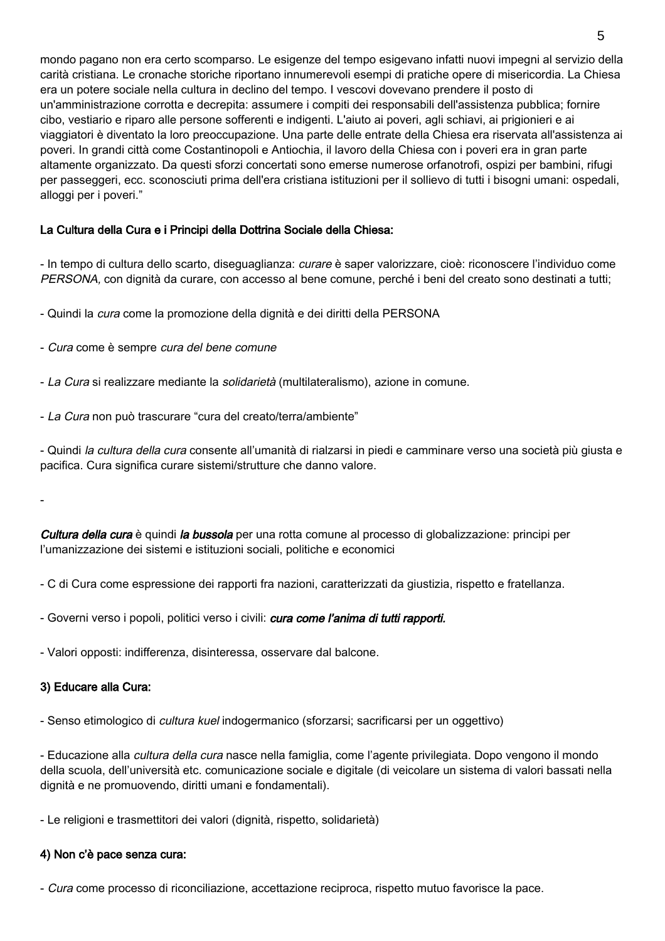mondo pagano non era certo scomparso. Le esigenze del tempo esigevano infatti nuovi impegni al servizio della carità cristiana. Le cronache storiche riportano innumerevoli esempi di pratiche opere di misericordia. La Chiesa era un potere sociale nella cultura in declino del tempo. I vescovi dovevano prendere il posto di un'amministrazione corrotta e decrepita: assumere i compiti dei responsabili dell'assistenza pubblica; fornire cibo, vestiario e riparo alle persone sofferenti e indigenti. L'aiuto ai poveri, agli schiavi, ai prigionieri e ai viaggiatori è diventato la loro preoccupazione. Una parte delle entrate della Chiesa era riservata all'assistenza ai poveri. In grandi città come Costantinopoli e Antiochia, il lavoro della Chiesa con i poveri era in gran parte altamente organizzato. Da questi sforzi concertati sono emerse numerose orfanotrofi, ospizi per bambini, rifugi per passeggeri, ecc. sconosciuti prima dell'era cristiana istituzioni per il sollievo di tutti i bisogni umani: ospedali, alloggi per i poveri."

# La Cultura della Cura e i Principi della Dottrina Sociale della Chiesa:

- In tempo di cultura dello scarto, diseguaglianza: curare è saper valorizzare, cioè: riconoscere l'individuo come PERSONA, con dignità da curare, con accesso al bene comune, perché i beni del creato sono destinati a tutti;

- Quindi la cura come la promozione della dignità e dei diritti della PERSONA
- Cura come è sempre cura del bene comune
- La Cura si realizzare mediante la solidarietà (multilateralismo), azione in comune.
- La Cura non può trascurare "cura del creato/terra/ambiente"

- Quindi la cultura della cura consente all'umanità di rialzarsi in piedi e camminare verso una società più giusta e pacifica. Cura significa curare sistemi/strutture che danno valore.

Cultura della cura è quindi la bussola per una rotta comune al processo di globalizzazione: principi per l'umanizzazione dei sistemi e istituzioni sociali, politiche e economici

- C di Cura come espressione dei rapporti fra nazioni, caratterizzati da giustizia, rispetto e fratellanza.

- Governi verso i popoli, politici verso i civili: *cura come l'anima di tutti rapporti.*
- Valori opposti: indifferenza, disinteressa, osservare dal balcone.

#### 3) Educare alla Cura:

-

- Senso etimologico di cultura kuel indogermanico (sforzarsi; sacrificarsi per un oggettivo)

- Educazione alla cultura della cura nasce nella famiglia, come l'agente privilegiata. Dopo vengono il mondo della scuola, dell'università etc. comunicazione sociale e digitale (di veicolare un sistema di valori bassati nella dignità e ne promuovendo, diritti umani e fondamentali).

- Le religioni e trasmettitori dei valori (dignità, rispetto, solidarietà)

## 4) Non c'è pace senza cura:

- Cura come processo di riconciliazione, accettazione reciproca, rispetto mutuo favorisce la pace.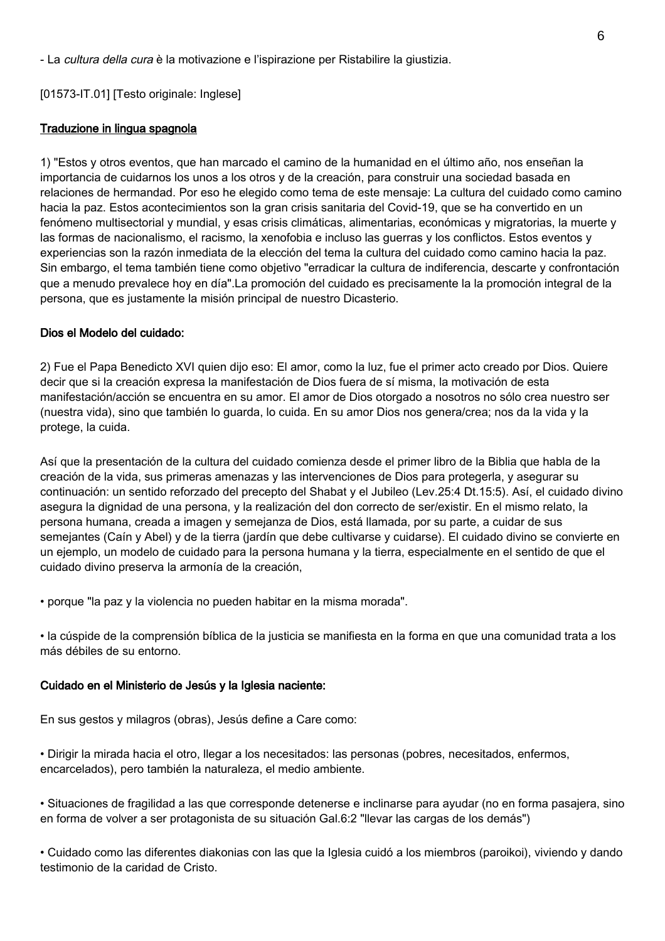- La cultura della cura è la motivazione e l'ispirazione per Ristabilire la giustizia.

## [01573-IT.01] [Testo originale: Inglese]

### Traduzione in lingua spagnola

1) "Estos y otros eventos, que han marcado el camino de la humanidad en el último año, nos enseñan la importancia de cuidarnos los unos a los otros y de la creación, para construir una sociedad basada en relaciones de hermandad. Por eso he elegido como tema de este mensaje: La cultura del cuidado como camino hacia la paz. Estos acontecimientos son la gran crisis sanitaria del Covid-19, que se ha convertido en un fenómeno multisectorial y mundial, y esas crisis climáticas, alimentarias, económicas y migratorias, la muerte y las formas de nacionalismo, el racismo, la xenofobia e incluso las guerras y los conflictos. Estos eventos y experiencias son la razón inmediata de la elección del tema la cultura del cuidado como camino hacia la paz. Sin embargo, el tema también tiene como objetivo "erradicar la cultura de indiferencia, descarte y confrontación que a menudo prevalece hoy en día".La promoción del cuidado es precisamente la la promoción integral de la persona, que es justamente la misión principal de nuestro Dicasterio.

### Dios el Modelo del cuidado:

2) Fue el Papa Benedicto XVI quien dijo eso: El amor, como la luz, fue el primer acto creado por Dios. Quiere decir que si la creación expresa la manifestación de Dios fuera de sí misma, la motivación de esta manifestación/acción se encuentra en su amor. El amor de Dios otorgado a nosotros no sólo crea nuestro ser (nuestra vida), sino que también lo guarda, lo cuida. En su amor Dios nos genera/crea; nos da la vida y la protege, la cuida.

Así que la presentación de la cultura del cuidado comienza desde el primer libro de la Biblia que habla de la creación de la vida, sus primeras amenazas y las intervenciones de Dios para protegerla, y asegurar su continuación: un sentido reforzado del precepto del Shabat y el Jubileo (Lev.25:4 Dt.15:5). Así, el cuidado divino asegura la dignidad de una persona, y la realización del don correcto de ser/existir. En el mismo relato, la persona humana, creada a imagen y semejanza de Dios, está llamada, por su parte, a cuidar de sus semejantes (Caín y Abel) y de la tierra (jardín que debe cultivarse y cuidarse). El cuidado divino se convierte en un ejemplo, un modelo de cuidado para la persona humana y la tierra, especialmente en el sentido de que el cuidado divino preserva la armonía de la creación,

• porque "la paz y la violencia no pueden habitar en la misma morada".

• la cúspide de la comprensión bíblica de la justicia se manifiesta en la forma en que una comunidad trata a los más débiles de su entorno.

#### Cuidado en el Ministerio de Jesús y la Iglesia naciente:

En sus gestos y milagros (obras), Jesús define a Care como:

• Dirigir la mirada hacia el otro, llegar a los necesitados: las personas (pobres, necesitados, enfermos, encarcelados), pero también la naturaleza, el medio ambiente.

• Situaciones de fragilidad a las que corresponde detenerse e inclinarse para ayudar (no en forma pasajera, sino en forma de volver a ser protagonista de su situación Gal.6:2 "llevar las cargas de los demás")

• Cuidado como las diferentes diakonias con las que la Iglesia cuidó a los miembros (paroikoi), viviendo y dando testimonio de la caridad de Cristo.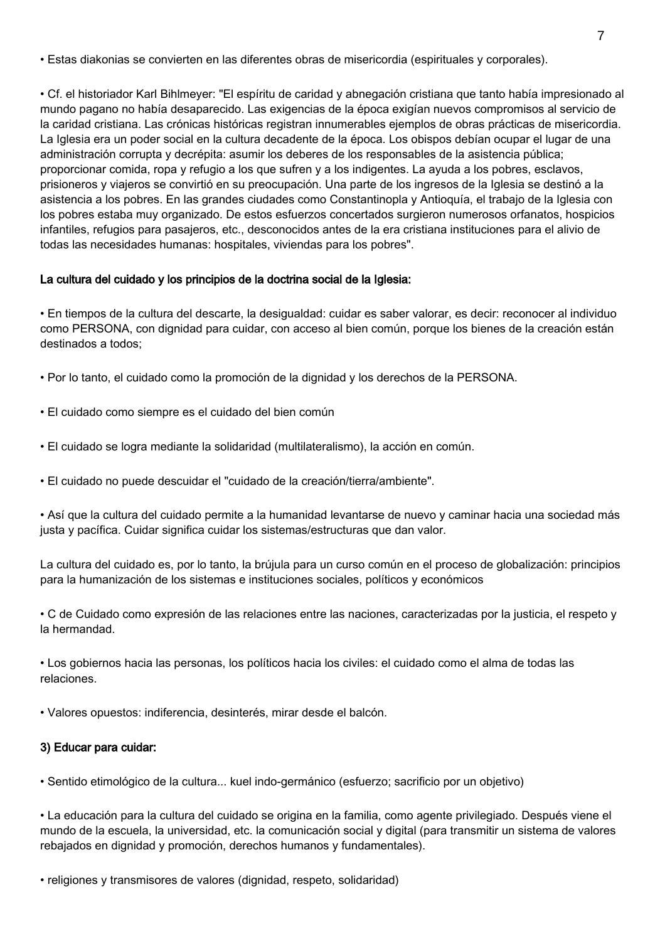• Estas diakonias se convierten en las diferentes obras de misericordia (espirituales y corporales).

• Cf. el historiador Karl Bihlmeyer: "El espíritu de caridad y abnegación cristiana que tanto había impresionado al mundo pagano no había desaparecido. Las exigencias de la época exigían nuevos compromisos al servicio de la caridad cristiana. Las crónicas históricas registran innumerables ejemplos de obras prácticas de misericordia. La Iglesia era un poder social en la cultura decadente de la época. Los obispos debían ocupar el lugar de una administración corrupta y decrépita: asumir los deberes de los responsables de la asistencia pública; proporcionar comida, ropa y refugio a los que sufren y a los indigentes. La ayuda a los pobres, esclavos, prisioneros y viajeros se convirtió en su preocupación. Una parte de los ingresos de la Iglesia se destinó a la asistencia a los pobres. En las grandes ciudades como Constantinopla y Antioquía, el trabajo de la Iglesia con los pobres estaba muy organizado. De estos esfuerzos concertados surgieron numerosos orfanatos, hospicios infantiles, refugios para pasajeros, etc., desconocidos antes de la era cristiana instituciones para el alivio de todas las necesidades humanas: hospitales, viviendas para los pobres".

### La cultura del cuidado y los principios de la doctrina social de la Iglesia:

• En tiempos de la cultura del descarte, la desigualdad: cuidar es saber valorar, es decir: reconocer al individuo como PERSONA, con dignidad para cuidar, con acceso al bien común, porque los bienes de la creación están destinados a todos;

• Por lo tanto, el cuidado como la promoción de la dignidad y los derechos de la PERSONA.

• El cuidado como siempre es el cuidado del bien común

• El cuidado se logra mediante la solidaridad (multilateralismo), la acción en común.

• El cuidado no puede descuidar el "cuidado de la creación/tierra/ambiente".

• Así que la cultura del cuidado permite a la humanidad levantarse de nuevo y caminar hacia una sociedad más justa y pacífica. Cuidar significa cuidar los sistemas/estructuras que dan valor.

La cultura del cuidado es, por lo tanto, la brújula para un curso común en el proceso de globalización: principios para la humanización de los sistemas e instituciones sociales, políticos y económicos

• C de Cuidado como expresión de las relaciones entre las naciones, caracterizadas por la justicia, el respeto y la hermandad.

• Los gobiernos hacia las personas, los políticos hacia los civiles: el cuidado como el alma de todas las relaciones.

• Valores opuestos: indiferencia, desinterés, mirar desde el balcón.

#### 3) Educar para cuidar:

• Sentido etimológico de la cultura... kuel indo-germánico (esfuerzo; sacrificio por un objetivo)

• La educación para la cultura del cuidado se origina en la familia, como agente privilegiado. Después viene el mundo de la escuela, la universidad, etc. la comunicación social y digital (para transmitir un sistema de valores rebajados en dignidad y promoción, derechos humanos y fundamentales).

• religiones y transmisores de valores (dignidad, respeto, solidaridad)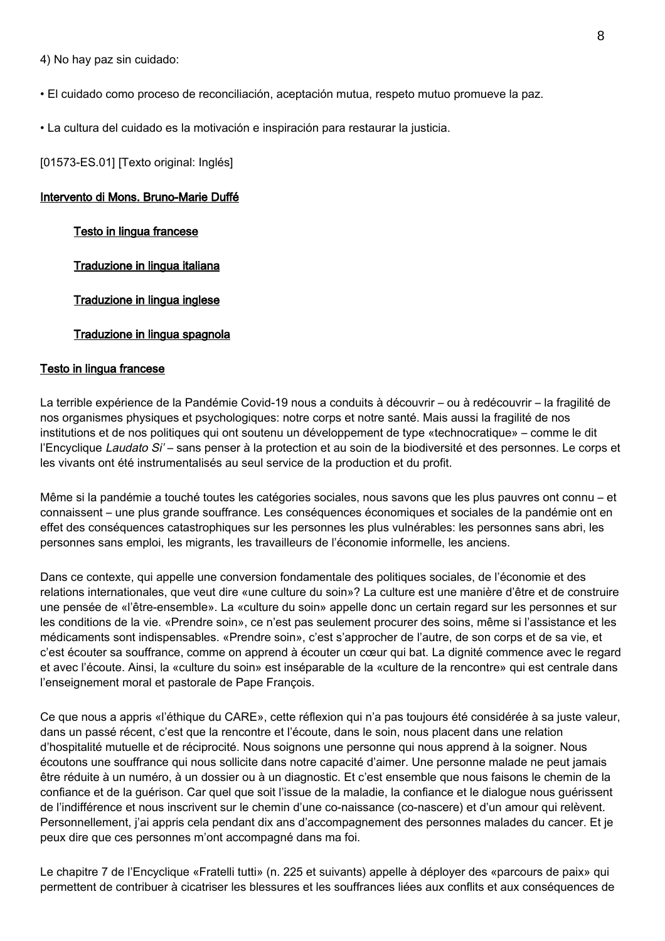4) No hay paz sin cuidado:

• El cuidado como proceso de reconciliación, aceptación mutua, respeto mutuo promueve la paz.

• La cultura del cuidado es la motivación e inspiración para restaurar la justicia.

[01573-ES.01] [Texto original: Inglés]

#### Intervento di Mons. Bruno-Marie Duffé

Testo in lingua francese

Traduzione in lingua italiana

Traduzione in lingua inglese

#### Traduzione in lingua spagnola

#### Testo in lingua francese

La terrible expérience de la Pandémie Covid-19 nous a conduits à découvrir – ou à redécouvrir – la fragilité de nos organismes physiques et psychologiques: notre corps et notre santé. Mais aussi la fragilité de nos institutions et de nos politiques qui ont soutenu un développement de type «technocratique» – comme le dit l'Encyclique Laudato Si' – sans penser à la protection et au soin de la biodiversité et des personnes. Le corps et les vivants ont été instrumentalisés au seul service de la production et du profit.

Même si la pandémie a touché toutes les catégories sociales, nous savons que les plus pauvres ont connu – et connaissent – une plus grande souffrance. Les conséquences économiques et sociales de la pandémie ont en effet des conséquences catastrophiques sur les personnes les plus vulnérables: les personnes sans abri, les personnes sans emploi, les migrants, les travailleurs de l'économie informelle, les anciens.

Dans ce contexte, qui appelle une conversion fondamentale des politiques sociales, de l'économie et des relations internationales, que veut dire «une culture du soin»? La culture est une manière d'être et de construire une pensée de «l'être-ensemble». La «culture du soin» appelle donc un certain regard sur les personnes et sur les conditions de la vie. «Prendre soin», ce n'est pas seulement procurer des soins, même si l'assistance et les médicaments sont indispensables. «Prendre soin», c'est s'approcher de l'autre, de son corps et de sa vie, et c'est écouter sa souffrance, comme on apprend à écouter un cœur qui bat. La dignité commence avec le regard et avec l'écoute. Ainsi, la «culture du soin» est inséparable de la «culture de la rencontre» qui est centrale dans l'enseignement moral et pastorale de Pape François.

Ce que nous a appris «l'éthique du CARE», cette réflexion qui n'a pas toujours été considérée à sa juste valeur, dans un passé récent, c'est que la rencontre et l'écoute, dans le soin, nous placent dans une relation d'hospitalité mutuelle et de réciprocité. Nous soignons une personne qui nous apprend à la soigner. Nous écoutons une souffrance qui nous sollicite dans notre capacité d'aimer. Une personne malade ne peut jamais être réduite à un numéro, à un dossier ou à un diagnostic. Et c'est ensemble que nous faisons le chemin de la confiance et de la guérison. Car quel que soit l'issue de la maladie, la confiance et le dialogue nous guérissent de l'indifférence et nous inscrivent sur le chemin d'une co-naissance (co-nascere) et d'un amour qui relèvent. Personnellement, j'ai appris cela pendant dix ans d'accompagnement des personnes malades du cancer. Et je peux dire que ces personnes m'ont accompagné dans ma foi.

Le chapitre 7 de l'Encyclique «Fratelli tutti» (n. 225 et suivants) appelle à déployer des «parcours de paix» qui permettent de contribuer à cicatriser les blessures et les souffrances liées aux conflits et aux conséquences de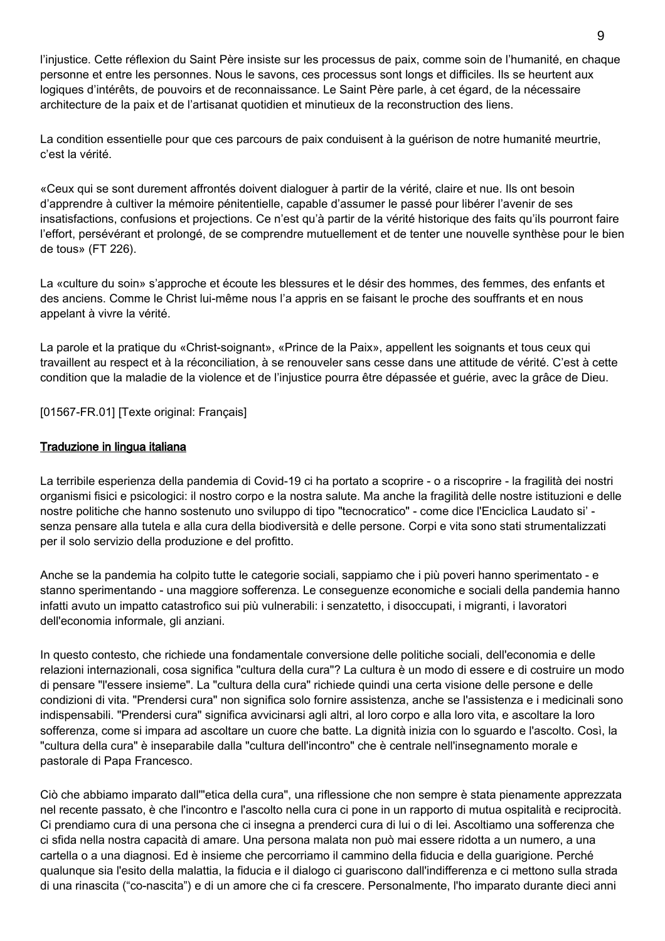l'injustice. Cette réflexion du Saint Père insiste sur les processus de paix, comme soin de l'humanité, en chaque personne et entre les personnes. Nous le savons, ces processus sont longs et difficiles. Ils se heurtent aux logiques d'intérêts, de pouvoirs et de reconnaissance. Le Saint Père parle, à cet égard, de la nécessaire architecture de la paix et de l'artisanat quotidien et minutieux de la reconstruction des liens.

La condition essentielle pour que ces parcours de paix conduisent à la guérison de notre humanité meurtrie, c'est la vérité.

«Ceux qui se sont durement affrontés doivent dialoguer à partir de la vérité, claire et nue. Ils ont besoin d'apprendre à cultiver la mémoire pénitentielle, capable d'assumer le passé pour libérer l'avenir de ses insatisfactions, confusions et projections. Ce n'est qu'à partir de la vérité historique des faits qu'ils pourront faire l'effort, persévérant et prolongé, de se comprendre mutuellement et de tenter une nouvelle synthèse pour le bien de tous» (FT 226).

La «culture du soin» s'approche et écoute les blessures et le désir des hommes, des femmes, des enfants et des anciens. Comme le Christ lui-même nous l'a appris en se faisant le proche des souffrants et en nous appelant à vivre la vérité.

La parole et la pratique du «Christ-soignant», «Prince de la Paix», appellent les soignants et tous ceux qui travaillent au respect et à la réconciliation, à se renouveler sans cesse dans une attitude de vérité. C'est à cette condition que la maladie de la violence et de l'injustice pourra être dépassée et guérie, avec la grâce de Dieu.

[01567-FR.01] [Texte original: Français]

### Traduzione in lingua italiana

La terribile esperienza della pandemia di Covid-19 ci ha portato a scoprire - o a riscoprire - la fragilità dei nostri organismi fisici e psicologici: il nostro corpo e la nostra salute. Ma anche la fragilità delle nostre istituzioni e delle nostre politiche che hanno sostenuto uno sviluppo di tipo "tecnocratico" - come dice l'Enciclica Laudato si' senza pensare alla tutela e alla cura della biodiversità e delle persone. Corpi e vita sono stati strumentalizzati per il solo servizio della produzione e del profitto.

Anche se la pandemia ha colpito tutte le categorie sociali, sappiamo che i più poveri hanno sperimentato - e stanno sperimentando - una maggiore sofferenza. Le conseguenze economiche e sociali della pandemia hanno infatti avuto un impatto catastrofico sui più vulnerabili: i senzatetto, i disoccupati, i migranti, i lavoratori dell'economia informale, gli anziani.

In questo contesto, che richiede una fondamentale conversione delle politiche sociali, dell'economia e delle relazioni internazionali, cosa significa "cultura della cura"? La cultura è un modo di essere e di costruire un modo di pensare "l'essere insieme". La "cultura della cura" richiede quindi una certa visione delle persone e delle condizioni di vita. "Prendersi cura" non significa solo fornire assistenza, anche se l'assistenza e i medicinali sono indispensabili. "Prendersi cura" significa avvicinarsi agli altri, al loro corpo e alla loro vita, e ascoltare la loro sofferenza, come si impara ad ascoltare un cuore che batte. La dignità inizia con lo sguardo e l'ascolto. Così, la "cultura della cura" è inseparabile dalla "cultura dell'incontro" che è centrale nell'insegnamento morale e pastorale di Papa Francesco.

Ciò che abbiamo imparato dall'"etica della cura", una riflessione che non sempre è stata pienamente apprezzata nel recente passato, è che l'incontro e l'ascolto nella cura ci pone in un rapporto di mutua ospitalità e reciprocità. Ci prendiamo cura di una persona che ci insegna a prenderci cura di lui o di lei. Ascoltiamo una sofferenza che ci sfida nella nostra capacità di amare. Una persona malata non può mai essere ridotta a un numero, a una cartella o a una diagnosi. Ed è insieme che percorriamo il cammino della fiducia e della guarigione. Perché qualunque sia l'esito della malattia, la fiducia e il dialogo ci guariscono dall'indifferenza e ci mettono sulla strada di una rinascita ("co-nascita") e di un amore che ci fa crescere. Personalmente, l'ho imparato durante dieci anni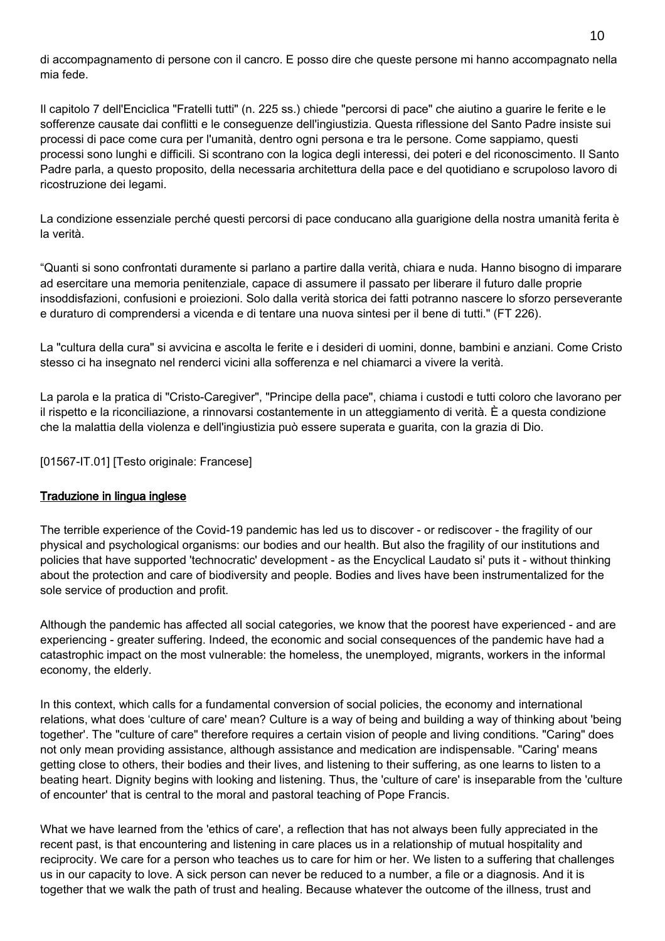di accompagnamento di persone con il cancro. E posso dire che queste persone mi hanno accompagnato nella mia fede.

Il capitolo 7 dell'Enciclica "Fratelli tutti" (n. 225 ss.) chiede "percorsi di pace" che aiutino a guarire le ferite e le sofferenze causate dai conflitti e le conseguenze dell'ingiustizia. Questa riflessione del Santo Padre insiste sui processi di pace come cura per l'umanità, dentro ogni persona e tra le persone. Come sappiamo, questi processi sono lunghi e difficili. Si scontrano con la logica degli interessi, dei poteri e del riconoscimento. Il Santo Padre parla, a questo proposito, della necessaria architettura della pace e del quotidiano e scrupoloso lavoro di ricostruzione dei legami.

La condizione essenziale perché questi percorsi di pace conducano alla guarigione della nostra umanità ferita è la verità.

"Quanti si sono confrontati duramente si parlano a partire dalla verità, chiara e nuda. Hanno bisogno di imparare ad esercitare una memoria penitenziale, capace di assumere il passato per liberare il futuro dalle proprie insoddisfazioni, confusioni e proiezioni. Solo dalla verità storica dei fatti potranno nascere lo sforzo perseverante e duraturo di comprendersi a vicenda e di tentare una nuova sintesi per il bene di tutti." (FT 226).

La "cultura della cura" si avvicina e ascolta le ferite e i desideri di uomini, donne, bambini e anziani. Come Cristo stesso ci ha insegnato nel renderci vicini alla sofferenza e nel chiamarci a vivere la verità.

La parola e la pratica di "Cristo-Caregiver", "Principe della pace", chiama i custodi e tutti coloro che lavorano per il rispetto e la riconciliazione, a rinnovarsi costantemente in un atteggiamento di verità. È a questa condizione che la malattia della violenza e dell'ingiustizia può essere superata e guarita, con la grazia di Dio.

[01567-IT.01] [Testo originale: Francese]

#### Traduzione in lingua inglese

The terrible experience of the Covid-19 pandemic has led us to discover - or rediscover - the fragility of our physical and psychological organisms: our bodies and our health. But also the fragility of our institutions and policies that have supported 'technocratic' development - as the Encyclical Laudato si' puts it - without thinking about the protection and care of biodiversity and people. Bodies and lives have been instrumentalized for the sole service of production and profit.

Although the pandemic has affected all social categories, we know that the poorest have experienced - and are experiencing - greater suffering. Indeed, the economic and social consequences of the pandemic have had a catastrophic impact on the most vulnerable: the homeless, the unemployed, migrants, workers in the informal economy, the elderly.

In this context, which calls for a fundamental conversion of social policies, the economy and international relations, what does 'culture of care' mean? Culture is a way of being and building a way of thinking about 'being together'. The "culture of care" therefore requires a certain vision of people and living conditions. "Caring" does not only mean providing assistance, although assistance and medication are indispensable. "Caring' means getting close to others, their bodies and their lives, and listening to their suffering, as one learns to listen to a beating heart. Dignity begins with looking and listening. Thus, the 'culture of care' is inseparable from the 'culture of encounter' that is central to the moral and pastoral teaching of Pope Francis.

What we have learned from the 'ethics of care', a reflection that has not always been fully appreciated in the recent past, is that encountering and listening in care places us in a relationship of mutual hospitality and reciprocity. We care for a person who teaches us to care for him or her. We listen to a suffering that challenges us in our capacity to love. A sick person can never be reduced to a number, a file or a diagnosis. And it is together that we walk the path of trust and healing. Because whatever the outcome of the illness, trust and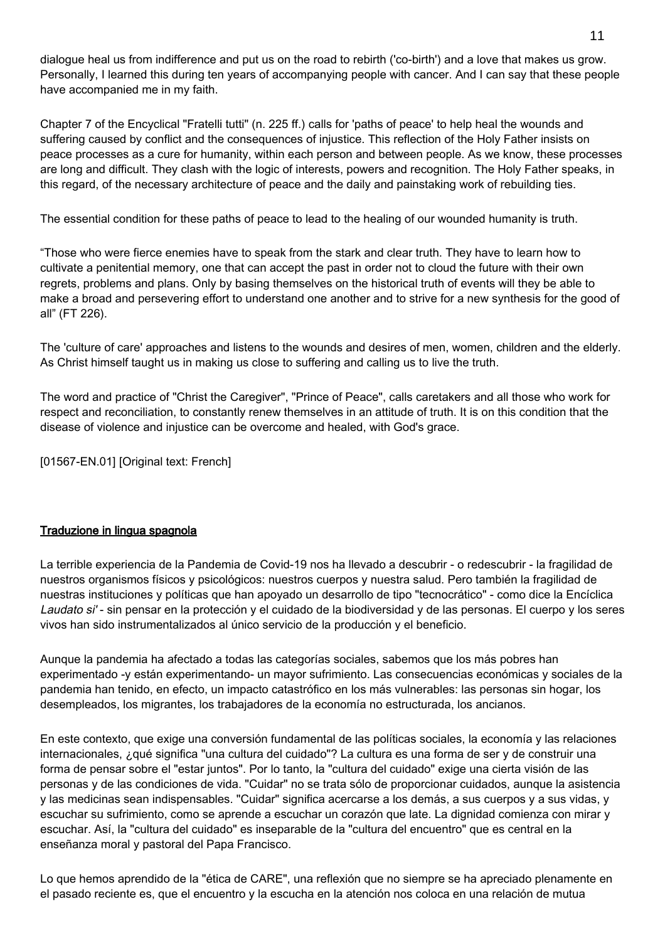dialogue heal us from indifference and put us on the road to rebirth ('co-birth') and a love that makes us grow. Personally, I learned this during ten years of accompanying people with cancer. And I can say that these people have accompanied me in my faith.

Chapter 7 of the Encyclical "Fratelli tutti" (n. 225 ff.) calls for 'paths of peace' to help heal the wounds and suffering caused by conflict and the consequences of injustice. This reflection of the Holy Father insists on peace processes as a cure for humanity, within each person and between people. As we know, these processes are long and difficult. They clash with the logic of interests, powers and recognition. The Holy Father speaks, in this regard, of the necessary architecture of peace and the daily and painstaking work of rebuilding ties.

The essential condition for these paths of peace to lead to the healing of our wounded humanity is truth.

"Those who were fierce enemies have to speak from the stark and clear truth. They have to learn how to cultivate a penitential memory, one that can accept the past in order not to cloud the future with their own regrets, problems and plans. Only by basing themselves on the historical truth of events will they be able to make a broad and persevering effort to understand one another and to strive for a new synthesis for the good of all" (FT 226).

The 'culture of care' approaches and listens to the wounds and desires of men, women, children and the elderly. As Christ himself taught us in making us close to suffering and calling us to live the truth.

The word and practice of "Christ the Caregiver", "Prince of Peace", calls caretakers and all those who work for respect and reconciliation, to constantly renew themselves in an attitude of truth. It is on this condition that the disease of violence and injustice can be overcome and healed, with God's grace.

[01567-EN.01] [Original text: French]

#### Traduzione in lingua spagnola

La terrible experiencia de la Pandemia de Covid-19 nos ha llevado a descubrir - o redescubrir - la fragilidad de nuestros organismos físicos y psicológicos: nuestros cuerpos y nuestra salud. Pero también la fragilidad de nuestras instituciones y políticas que han apoyado un desarrollo de tipo "tecnocrático" - como dice la Encíclica Laudato si' - sin pensar en la protección y el cuidado de la biodiversidad y de las personas. El cuerpo y los seres vivos han sido instrumentalizados al único servicio de la producción y el beneficio.

Aunque la pandemia ha afectado a todas las categorías sociales, sabemos que los más pobres han experimentado -y están experimentando- un mayor sufrimiento. Las consecuencias económicas y sociales de la pandemia han tenido, en efecto, un impacto catastrófico en los más vulnerables: las personas sin hogar, los desempleados, los migrantes, los trabajadores de la economía no estructurada, los ancianos.

En este contexto, que exige una conversión fundamental de las políticas sociales, la economía y las relaciones internacionales, ¿qué significa "una cultura del cuidado"? La cultura es una forma de ser y de construir una forma de pensar sobre el "estar juntos". Por lo tanto, la "cultura del cuidado" exige una cierta visión de las personas y de las condiciones de vida. "Cuidar" no se trata sólo de proporcionar cuidados, aunque la asistencia y las medicinas sean indispensables. "Cuidar" significa acercarse a los demás, a sus cuerpos y a sus vidas, y escuchar su sufrimiento, como se aprende a escuchar un corazón que late. La dignidad comienza con mirar y escuchar. Así, la "cultura del cuidado" es inseparable de la "cultura del encuentro" que es central en la enseñanza moral y pastoral del Papa Francisco.

Lo que hemos aprendido de la "ética de CARE", una reflexión que no siempre se ha apreciado plenamente en el pasado reciente es, que el encuentro y la escucha en la atención nos coloca en una relación de mutua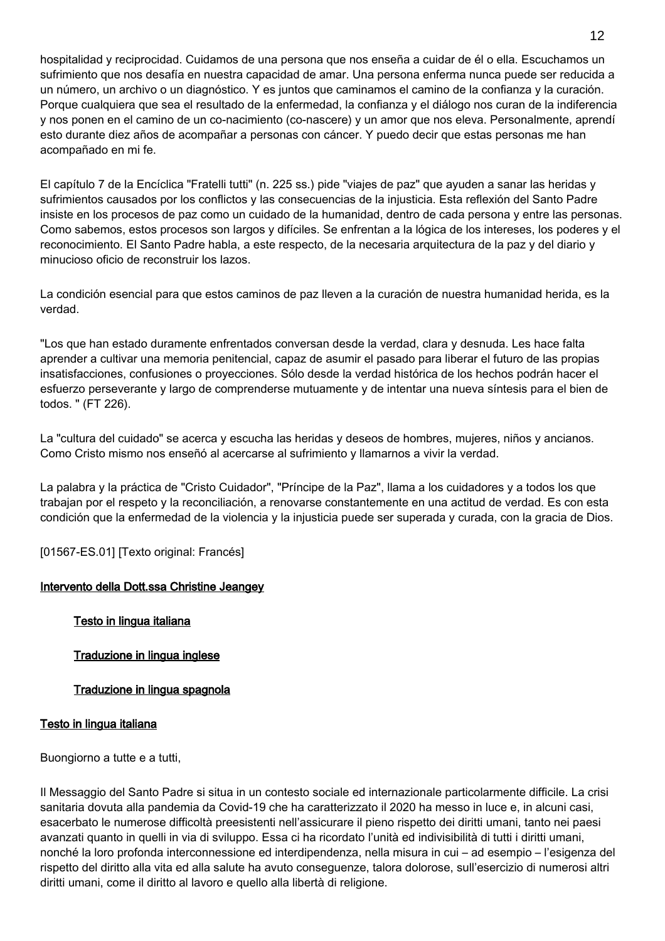hospitalidad y reciprocidad. Cuidamos de una persona que nos enseña a cuidar de él o ella. Escuchamos un sufrimiento que nos desafía en nuestra capacidad de amar. Una persona enferma nunca puede ser reducida a un número, un archivo o un diagnóstico. Y es juntos que caminamos el camino de la confianza y la curación. Porque cualquiera que sea el resultado de la enfermedad, la confianza y el diálogo nos curan de la indiferencia y nos ponen en el camino de un co-nacimiento (co-nascere) y un amor que nos eleva. Personalmente, aprendí esto durante diez años de acompañar a personas con cáncer. Y puedo decir que estas personas me han acompañado en mi fe.

El capítulo 7 de la Encíclica "Fratelli tutti" (n. 225 ss.) pide "viajes de paz" que ayuden a sanar las heridas y sufrimientos causados por los conflictos y las consecuencias de la injusticia. Esta reflexión del Santo Padre insiste en los procesos de paz como un cuidado de la humanidad, dentro de cada persona y entre las personas. Como sabemos, estos procesos son largos y difíciles. Se enfrentan a la lógica de los intereses, los poderes y el reconocimiento. El Santo Padre habla, a este respecto, de la necesaria arquitectura de la paz y del diario y minucioso oficio de reconstruir los lazos.

La condición esencial para que estos caminos de paz lleven a la curación de nuestra humanidad herida, es la verdad.

"Los que han estado duramente enfrentados conversan desde la verdad, clara y desnuda. Les hace falta aprender a cultivar una memoria penitencial, capaz de asumir el pasado para liberar el futuro de las propias insatisfacciones, confusiones o proyecciones. Sólo desde la verdad histórica de los hechos podrán hacer el esfuerzo perseverante y largo de comprenderse mutuamente y de intentar una nueva síntesis para el bien de todos. " (FT 226).

La "cultura del cuidado" se acerca y escucha las heridas y deseos de hombres, mujeres, niños y ancianos. Como Cristo mismo nos enseñó al acercarse al sufrimiento y llamarnos a vivir la verdad.

La palabra y la práctica de "Cristo Cuidador", "Príncipe de la Paz", llama a los cuidadores y a todos los que trabajan por el respeto y la reconciliación, a renovarse constantemente en una actitud de verdad. Es con esta condición que la enfermedad de la violencia y la injusticia puede ser superada y curada, con la gracia de Dios.

[01567-ES.01] [Texto original: Francés]

## Intervento della Dott.ssa Christine Jeangey

Testo in lingua italiana

Traduzione in lingua inglese

Traduzione in lingua spagnola

#### Testo in lingua italiana

Buongiorno a tutte e a tutti,

Il Messaggio del Santo Padre si situa in un contesto sociale ed internazionale particolarmente difficile. La crisi sanitaria dovuta alla pandemia da Covid-19 che ha caratterizzato il 2020 ha messo in luce e, in alcuni casi, esacerbato le numerose difficoltà preesistenti nell'assicurare il pieno rispetto dei diritti umani, tanto nei paesi avanzati quanto in quelli in via di sviluppo. Essa ci ha ricordato l'unità ed indivisibilità di tutti i diritti umani, nonché la loro profonda interconnessione ed interdipendenza, nella misura in cui – ad esempio – l'esigenza del rispetto del diritto alla vita ed alla salute ha avuto conseguenze, talora dolorose, sull'esercizio di numerosi altri diritti umani, come il diritto al lavoro e quello alla libertà di religione.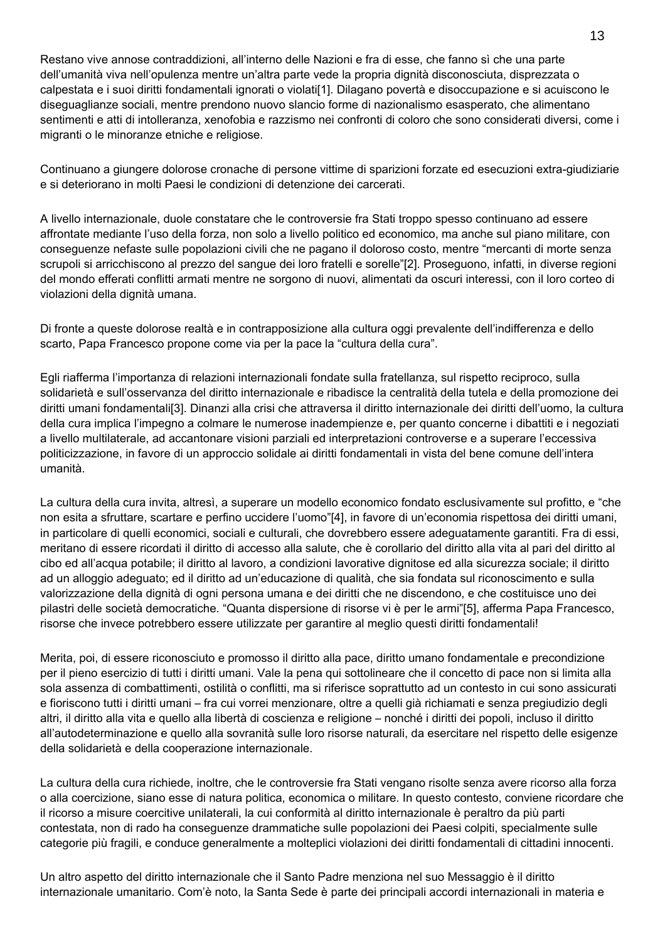Restano vive annose contraddizioni, all'interno delle Nazioni e fra di esse, che fanno sì che una parte dell'umanità viva nell'opulenza mentre un'altra parte vede la propria dignità disconosciuta, disprezzata o calpestata e i suoi diritti fondamentali ignorati o violati[1]. Dilagano povertà e disoccupazione e si acuiscono le diseguaglianze sociali, mentre prendono nuovo slancio forme di nazionalismo esasperato, che alimentano sentimenti e atti di intolleranza, xenofobia e razzismo nei confronti di coloro che sono considerati diversi, come i migranti o le minoranze etniche e religiose.

Continuano a giungere dolorose cronache di persone vittime di sparizioni forzate ed esecuzioni extra-giudiziarie e si deteriorano in molti Paesi le condizioni di detenzione dei carcerati.

A livello internazionale, duole constatare che le controversie fra Stati troppo spesso continuano ad essere affrontate mediante l'uso della forza, non solo a livello politico ed economico, ma anche sul piano militare, con conseguenze nefaste sulle popolazioni civili che ne pagano il doloroso costo, mentre "mercanti di morte senza scrupoli si arricchiscono al prezzo del sangue dei loro fratelli e sorelle"[2]. Proseguono, infatti, in diverse regioni del mondo efferati conflitti armati mentre ne sorgono di nuovi, alimentati da oscuri interessi, con il loro corteo di violazioni della dignità umana.

Di fronte a queste dolorose realtà e in contrapposizione alla cultura oggi prevalente dell'indifferenza e dello scarto, Papa Francesco propone come via per la pace la "cultura della cura".

Egli riafferma l'importanza di relazioni internazionali fondate sulla fratellanza, sul rispetto reciproco, sulla solidarietà e sull'osservanza del diritto internazionale e ribadisce la centralità della tutela e della promozione dei diritti umani fondamentali[3]. Dinanzi alla crisi che attraversa il diritto internazionale dei diritti dell'uomo, la cultura della cura implica l'impegno a colmare le numerose inadempienze e, per quanto concerne i dibattiti e i negoziati a livello multilaterale, ad accantonare visioni parziali ed interpretazioni controverse e a superare l'eccessiva politicizzazione, in favore di un approccio solidale ai diritti fondamentali in vista del bene comune dell'intera umanità.

La cultura della cura invita, altresì, a superare un modello economico fondato esclusivamente sul profitto, e "che non esita a sfruttare, scartare e perfino uccidere l'uomo"[4], in favore di un'economia rispettosa dei diritti umani, in particolare di quelli economici, sociali e culturali, che dovrebbero essere adeguatamente garantiti. Fra di essi, meritano di essere ricordati il diritto di accesso alla salute, che è corollario del diritto alla vita al pari del diritto al cibo ed all'acqua potabile; il diritto al lavoro, a condizioni lavorative dignitose ed alla sicurezza sociale; il diritto ad un alloggio adeguato; ed il diritto ad un'educazione di qualità, che sia fondata sul riconoscimento e sulla valorizzazione della dignità di ogni persona umana e dei diritti che ne discendono, e che costituisce uno dei pilastri delle società democratiche. "Quanta dispersione di risorse vi è per le armi"[5], afferma Papa Francesco, risorse che invece potrebbero essere utilizzate per garantire al meglio questi diritti fondamentali!

Merita, poi, di essere riconosciuto e promosso il diritto alla pace, diritto umano fondamentale e precondizione per il pieno esercizio di tutti i diritti umani. Vale la pena qui sottolineare che il concetto di pace non si limita alla sola assenza di combattimenti, ostilità o conflitti, ma si riferisce soprattutto ad un contesto in cui sono assicurati e fioriscono tutti i diritti umani – fra cui vorrei menzionare, oltre a quelli già richiamati e senza pregiudizio degli altri, il diritto alla vita e quello alla libertà di coscienza e religione – nonché i diritti dei popoli, incluso il diritto all'autodeterminazione e quello alla sovranità sulle loro risorse naturali, da esercitare nel rispetto delle esigenze della solidarietà e della cooperazione internazionale.

La cultura della cura richiede, inoltre, che le controversie fra Stati vengano risolte senza avere ricorso alla forza o alla coercizione, siano esse di natura politica, economica o militare. In questo contesto, conviene ricordare che il ricorso a misure coercitive unilaterali, la cui conformità al diritto internazionale è peraltro da più parti contestata, non di rado ha conseguenze drammatiche sulle popolazioni dei Paesi colpiti, specialmente sulle categorie più fragili, e conduce generalmente a molteplici violazioni dei diritti fondamentali di cittadini innocenti.

Un altro aspetto del diritto internazionale che il Santo Padre menziona nel suo Messaggio è il diritto internazionale umanitario. Com'è noto, la Santa Sede è parte dei principali accordi internazionali in materia e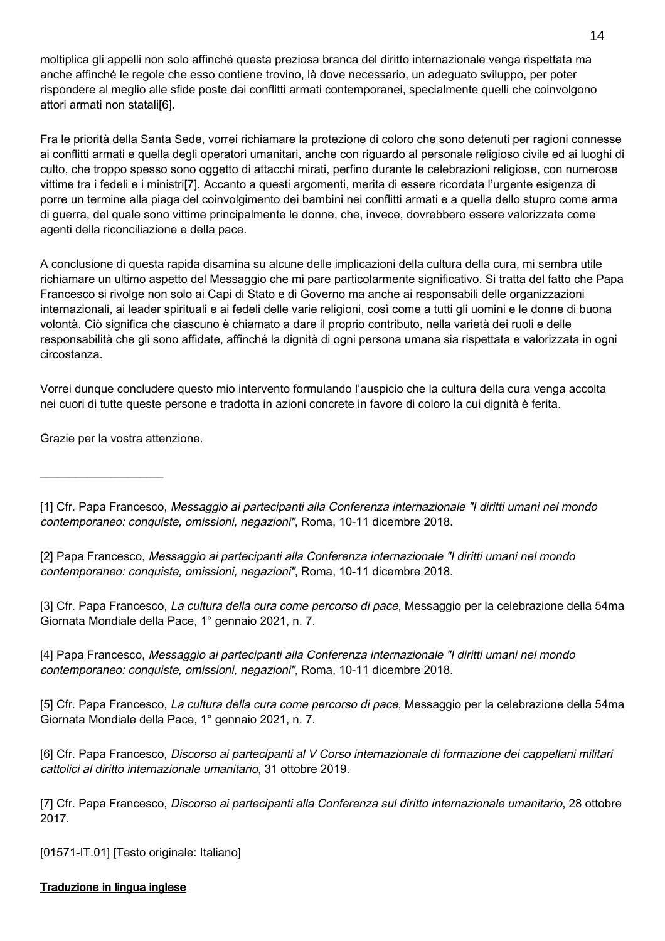moltiplica gli appelli non solo affinché questa preziosa branca del diritto internazionale venga rispettata ma anche affinché le regole che esso contiene trovino, là dove necessario, un adeguato sviluppo, per poter rispondere al meglio alle sfide poste dai conflitti armati contemporanei, specialmente quelli che coinvolgono attori armati non statali[6].

Fra le priorità della Santa Sede, vorrei richiamare la protezione di coloro che sono detenuti per ragioni connesse ai conflitti armati e quella degli operatori umanitari, anche con riguardo al personale religioso civile ed ai luoghi di culto, che troppo spesso sono oggetto di attacchi mirati, perfino durante le celebrazioni religiose, con numerose vittime tra i fedeli e i ministri[7]. Accanto a questi argomenti, merita di essere ricordata l'urgente esigenza di porre un termine alla piaga del coinvolgimento dei bambini nei conflitti armati e a quella dello stupro come arma di guerra, del quale sono vittime principalmente le donne, che, invece, dovrebbero essere valorizzate come agenti della riconciliazione e della pace.

A conclusione di questa rapida disamina su alcune delle implicazioni della cultura della cura, mi sembra utile richiamare un ultimo aspetto del Messaggio che mi pare particolarmente significativo. Si tratta del fatto che Papa Francesco si rivolge non solo ai Capi di Stato e di Governo ma anche ai responsabili delle organizzazioni internazionali, ai leader spirituali e ai fedeli delle varie religioni, così come a tutti gli uomini e le donne di buona volontà. Ciò significa che ciascuno è chiamato a dare il proprio contributo, nella varietà dei ruoli e delle responsabilità che gli sono affidate, affinché la dignità di ogni persona umana sia rispettata e valorizzata in ogni circostanza.

Vorrei dunque concludere questo mio intervento formulando l'auspicio che la cultura della cura venga accolta nei cuori di tutte queste persone e tradotta in azioni concrete in favore di coloro la cui dignità è ferita.

Grazie per la vostra attenzione.

 $\overline{\phantom{a}}$  , where  $\overline{\phantom{a}}$  , where  $\overline{\phantom{a}}$  , where  $\overline{\phantom{a}}$ 

[1] Cfr. Papa Francesco, Messaggio ai partecipanti alla Conferenza internazionale "I diritti umani nel mondo contemporaneo: conquiste, omissioni, negazioni", Roma, 10-11 dicembre 2018.

[2] Papa Francesco, Messaggio ai partecipanti alla Conferenza internazionale "I diritti umani nel mondo contemporaneo: conquiste, omissioni, negazioni", Roma, 10-11 dicembre 2018.

[3] Cfr. Papa Francesco, La cultura della cura come percorso di pace, Messaggio per la celebrazione della 54ma Giornata Mondiale della Pace, 1° gennaio 2021, n. 7.

[4] Papa Francesco, Messaggio ai partecipanti alla Conferenza internazionale "I diritti umani nel mondo contemporaneo: conquiste, omissioni, negazioni", Roma, 10-11 dicembre 2018.

[5] Cfr. Papa Francesco, La cultura della cura come percorso di pace, Messaggio per la celebrazione della 54ma Giornata Mondiale della Pace, 1° gennaio 2021, n. 7.

[6] Cfr. Papa Francesco, Discorso ai partecipanti al V Corso internazionale di formazione dei cappellani militari cattolici al diritto internazionale umanitario, 31 ottobre 2019.

[7] Cfr. Papa Francesco, Discorso ai partecipanti alla Conferenza sul diritto internazionale umanitario, 28 ottobre 2017.

[01571-IT.01] [Testo originale: Italiano]

## Traduzione in lingua inglese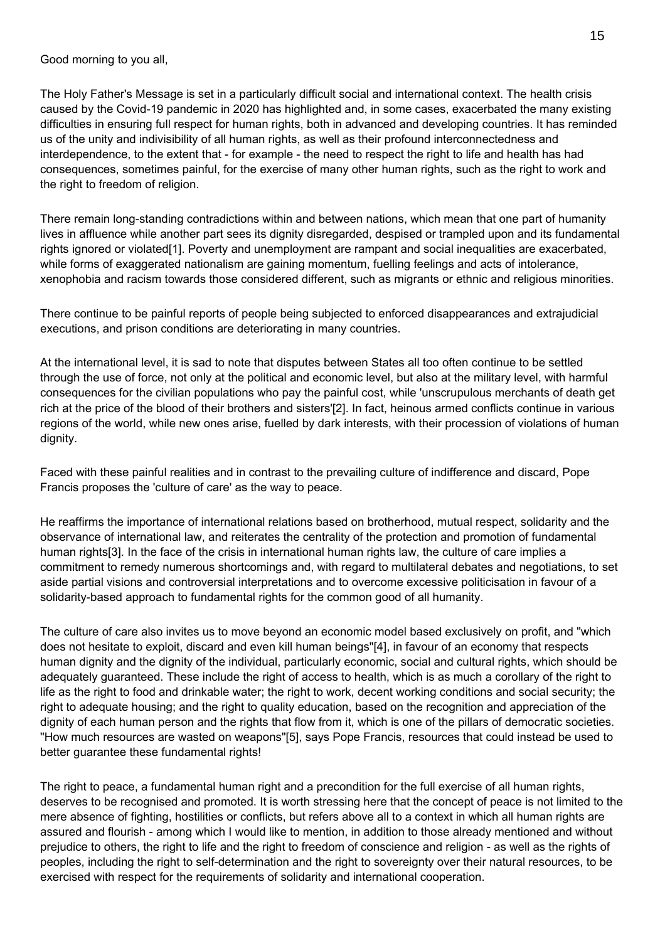Good morning to you all,

The Holy Father's Message is set in a particularly difficult social and international context. The health crisis caused by the Covid-19 pandemic in 2020 has highlighted and, in some cases, exacerbated the many existing difficulties in ensuring full respect for human rights, both in advanced and developing countries. It has reminded us of the unity and indivisibility of all human rights, as well as their profound interconnectedness and interdependence, to the extent that - for example - the need to respect the right to life and health has had consequences, sometimes painful, for the exercise of many other human rights, such as the right to work and the right to freedom of religion.

There remain long-standing contradictions within and between nations, which mean that one part of humanity lives in affluence while another part sees its dignity disregarded, despised or trampled upon and its fundamental rights ignored or violated[1]. Poverty and unemployment are rampant and social inequalities are exacerbated, while forms of exaggerated nationalism are gaining momentum, fuelling feelings and acts of intolerance, xenophobia and racism towards those considered different, such as migrants or ethnic and religious minorities.

There continue to be painful reports of people being subjected to enforced disappearances and extrajudicial executions, and prison conditions are deteriorating in many countries.

At the international level, it is sad to note that disputes between States all too often continue to be settled through the use of force, not only at the political and economic level, but also at the military level, with harmful consequences for the civilian populations who pay the painful cost, while 'unscrupulous merchants of death get rich at the price of the blood of their brothers and sisters'[2]. In fact, heinous armed conflicts continue in various regions of the world, while new ones arise, fuelled by dark interests, with their procession of violations of human dignity.

Faced with these painful realities and in contrast to the prevailing culture of indifference and discard, Pope Francis proposes the 'culture of care' as the way to peace.

He reaffirms the importance of international relations based on brotherhood, mutual respect, solidarity and the observance of international law, and reiterates the centrality of the protection and promotion of fundamental human rights[3]. In the face of the crisis in international human rights law, the culture of care implies a commitment to remedy numerous shortcomings and, with regard to multilateral debates and negotiations, to set aside partial visions and controversial interpretations and to overcome excessive politicisation in favour of a solidarity-based approach to fundamental rights for the common good of all humanity.

The culture of care also invites us to move beyond an economic model based exclusively on profit, and "which does not hesitate to exploit, discard and even kill human beings"[4], in favour of an economy that respects human dignity and the dignity of the individual, particularly economic, social and cultural rights, which should be adequately guaranteed. These include the right of access to health, which is as much a corollary of the right to life as the right to food and drinkable water; the right to work, decent working conditions and social security; the right to adequate housing; and the right to quality education, based on the recognition and appreciation of the dignity of each human person and the rights that flow from it, which is one of the pillars of democratic societies. "How much resources are wasted on weapons"[5], says Pope Francis, resources that could instead be used to better guarantee these fundamental rights!

The right to peace, a fundamental human right and a precondition for the full exercise of all human rights, deserves to be recognised and promoted. It is worth stressing here that the concept of peace is not limited to the mere absence of fighting, hostilities or conflicts, but refers above all to a context in which all human rights are assured and flourish - among which I would like to mention, in addition to those already mentioned and without prejudice to others, the right to life and the right to freedom of conscience and religion - as well as the rights of peoples, including the right to self-determination and the right to sovereignty over their natural resources, to be exercised with respect for the requirements of solidarity and international cooperation.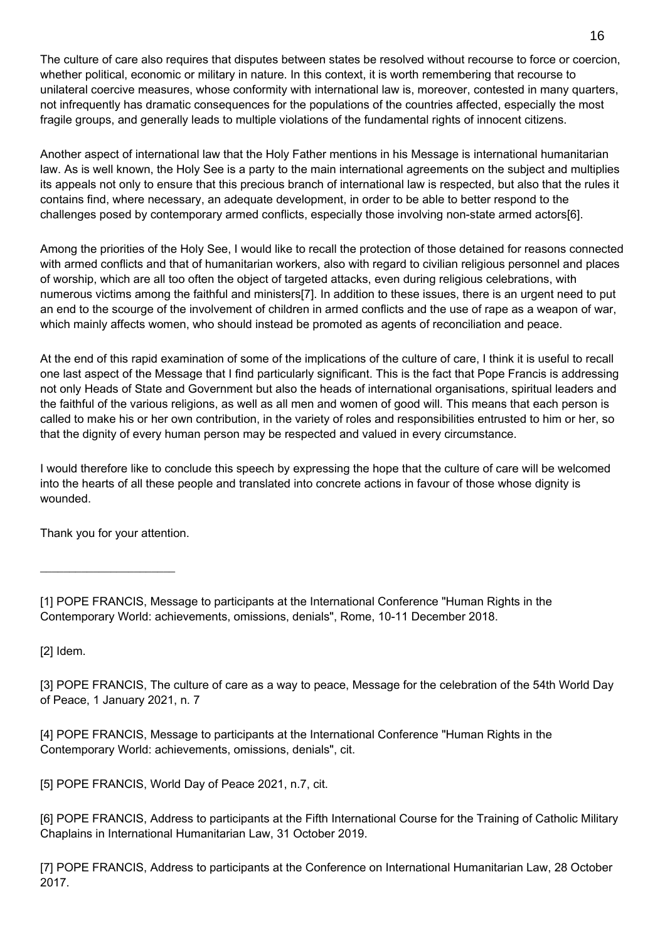The culture of care also requires that disputes between states be resolved without recourse to force or coercion, whether political, economic or military in nature. In this context, it is worth remembering that recourse to unilateral coercive measures, whose conformity with international law is, moreover, contested in many quarters, not infrequently has dramatic consequences for the populations of the countries affected, especially the most fragile groups, and generally leads to multiple violations of the fundamental rights of innocent citizens.

Another aspect of international law that the Holy Father mentions in his Message is international humanitarian law. As is well known, the Holy See is a party to the main international agreements on the subject and multiplies its appeals not only to ensure that this precious branch of international law is respected, but also that the rules it contains find, where necessary, an adequate development, in order to be able to better respond to the challenges posed by contemporary armed conflicts, especially those involving non-state armed actors[6].

Among the priorities of the Holy See, I would like to recall the protection of those detained for reasons connected with armed conflicts and that of humanitarian workers, also with regard to civilian religious personnel and places of worship, which are all too often the object of targeted attacks, even during religious celebrations, with numerous victims among the faithful and ministers[7]. In addition to these issues, there is an urgent need to put an end to the scourge of the involvement of children in armed conflicts and the use of rape as a weapon of war, which mainly affects women, who should instead be promoted as agents of reconciliation and peace.

At the end of this rapid examination of some of the implications of the culture of care, I think it is useful to recall one last aspect of the Message that I find particularly significant. This is the fact that Pope Francis is addressing not only Heads of State and Government but also the heads of international organisations, spiritual leaders and the faithful of the various religions, as well as all men and women of good will. This means that each person is called to make his or her own contribution, in the variety of roles and responsibilities entrusted to him or her, so that the dignity of every human person may be respected and valued in every circumstance.

I would therefore like to conclude this speech by expressing the hope that the culture of care will be welcomed into the hearts of all these people and translated into concrete actions in favour of those whose dignity is wounded.

Thank you for your attention.

 $\overline{\phantom{a}}$  , where  $\overline{\phantom{a}}$  , where  $\overline{\phantom{a}}$  , where  $\overline{\phantom{a}}$ 

[1] POPE FRANCIS, Message to participants at the International Conference "Human Rights in the Contemporary World: achievements, omissions, denials", Rome, 10-11 December 2018.

[2] Idem.

[3] POPE FRANCIS, The culture of care as a way to peace, Message for the celebration of the 54th World Day of Peace, 1 January 2021, n. 7

[4] POPE FRANCIS, Message to participants at the International Conference "Human Rights in the Contemporary World: achievements, omissions, denials", cit.

[5] POPE FRANCIS, World Day of Peace 2021, n.7, cit.

[6] POPE FRANCIS, Address to participants at the Fifth International Course for the Training of Catholic Military Chaplains in International Humanitarian Law, 31 October 2019.

[7] POPE FRANCIS, Address to participants at the Conference on International Humanitarian Law, 28 October 2017.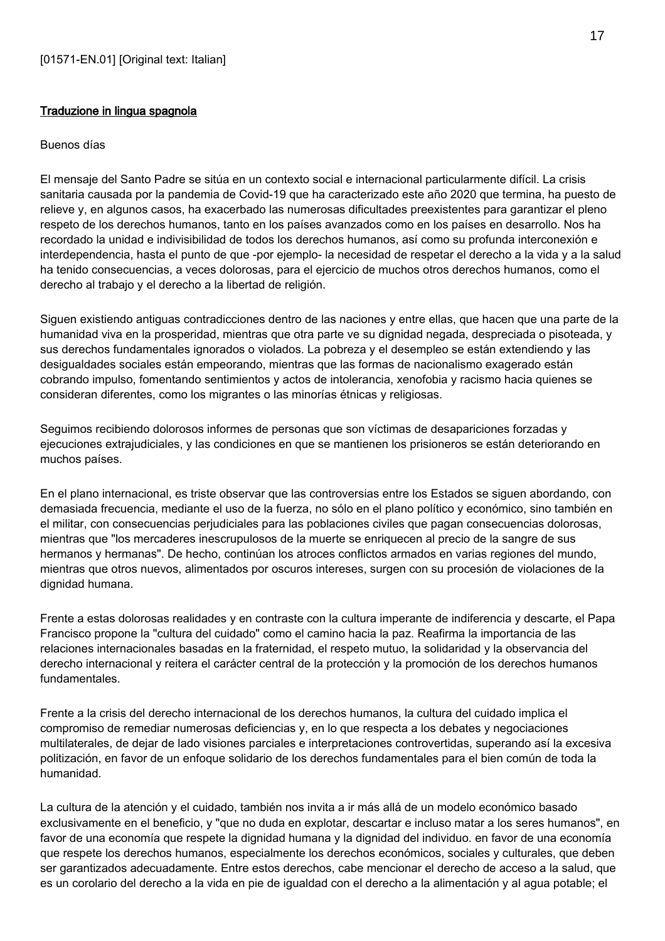## Traduzione in lingua spagnola

### Buenos días

El mensaje del Santo Padre se sitúa en un contexto social e internacional particularmente difícil. La crisis sanitaria causada por la pandemia de Covid-19 que ha caracterizado este año 2020 que termina, ha puesto de relieve y, en algunos casos, ha exacerbado las numerosas dificultades preexistentes para garantizar el pleno respeto de los derechos humanos, tanto en los países avanzados como en los países en desarrollo. Nos ha recordado la unidad e indivisibilidad de todos los derechos humanos, así como su profunda interconexión e interdependencia, hasta el punto de que -por ejemplo- la necesidad de respetar el derecho a la vida y a la salud ha tenido consecuencias, a veces dolorosas, para el ejercicio de muchos otros derechos humanos, como el derecho al trabajo y el derecho a la libertad de religión.

Siguen existiendo antiguas contradicciones dentro de las naciones y entre ellas, que hacen que una parte de la humanidad viva en la prosperidad, mientras que otra parte ve su dignidad negada, despreciada o pisoteada, y sus derechos fundamentales ignorados o violados. La pobreza y el desempleo se están extendiendo y las desigualdades sociales están empeorando, mientras que las formas de nacionalismo exagerado están cobrando impulso, fomentando sentimientos y actos de intolerancia, xenofobia y racismo hacia quienes se consideran diferentes, como los migrantes o las minorías étnicas y religiosas.

Seguimos recibiendo dolorosos informes de personas que son víctimas de desapariciones forzadas y ejecuciones extrajudiciales, y las condiciones en que se mantienen los prisioneros se están deteriorando en muchos países.

En el plano internacional, es triste observar que las controversias entre los Estados se siguen abordando, con demasiada frecuencia, mediante el uso de la fuerza, no sólo en el plano político y económico, sino también en el militar, con consecuencias perjudiciales para las poblaciones civiles que pagan consecuencias dolorosas, mientras que "los mercaderes inescrupulosos de la muerte se enriquecen al precio de la sangre de sus hermanos y hermanas". De hecho, continúan los atroces conflictos armados en varias regiones del mundo, mientras que otros nuevos, alimentados por oscuros intereses, surgen con su procesión de violaciones de la dignidad humana.

Frente a estas dolorosas realidades y en contraste con la cultura imperante de indiferencia y descarte, el Papa Francisco propone la "cultura del cuidado" como el camino hacia la paz. Reafirma la importancia de las relaciones internacionales basadas en la fraternidad, el respeto mutuo, la solidaridad y la observancia del derecho internacional y reitera el carácter central de la protección y la promoción de los derechos humanos fundamentales.

Frente a la crisis del derecho internacional de los derechos humanos, la cultura del cuidado implica el compromiso de remediar numerosas deficiencias y, en lo que respecta a los debates y negociaciones multilaterales, de dejar de lado visiones parciales e interpretaciones controvertidas, superando así la excesiva politización, en favor de un enfoque solidario de los derechos fundamentales para el bien común de toda la humanidad.

La cultura de la atención y el cuidado, también nos invita a ir más allá de un modelo económico basado exclusivamente en el beneficio, y "que no duda en explotar, descartar e incluso matar a los seres humanos", en favor de una economía que respete la dignidad humana y la dignidad del individuo. en favor de una economía que respete los derechos humanos, especialmente los derechos económicos, sociales y culturales, que deben ser garantizados adecuadamente. Entre estos derechos, cabe mencionar el derecho de acceso a la salud, que es un corolario del derecho a la vida en pie de igualdad con el derecho a la alimentación y al agua potable; el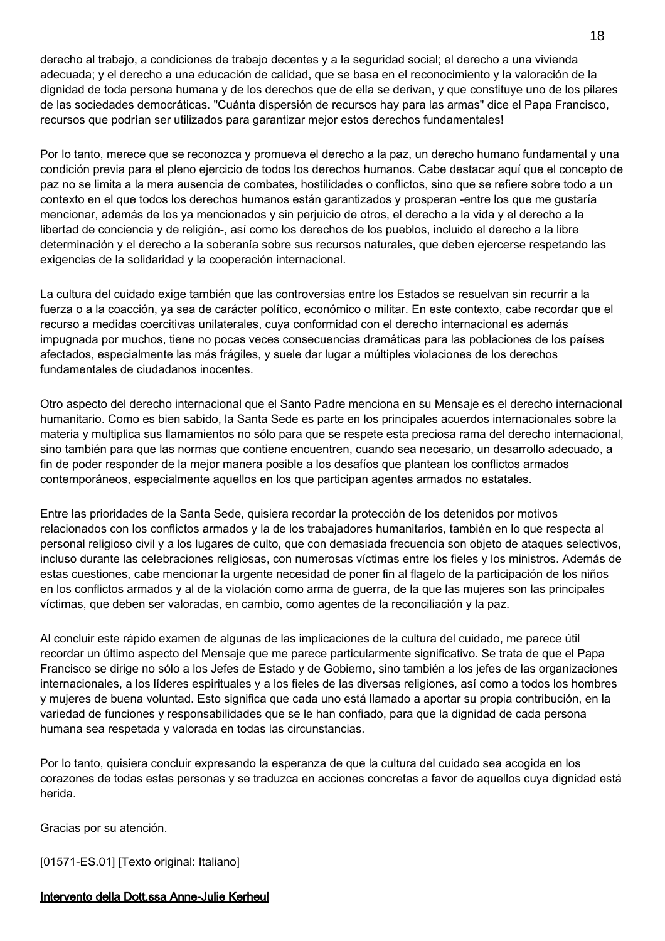derecho al trabajo, a condiciones de trabajo decentes y a la seguridad social; el derecho a una vivienda adecuada; y el derecho a una educación de calidad, que se basa en el reconocimiento y la valoración de la dignidad de toda persona humana y de los derechos que de ella se derivan, y que constituye uno de los pilares de las sociedades democráticas. "Cuánta dispersión de recursos hay para las armas" dice el Papa Francisco, recursos que podrían ser utilizados para garantizar mejor estos derechos fundamentales!

Por lo tanto, merece que se reconozca y promueva el derecho a la paz, un derecho humano fundamental y una condición previa para el pleno ejercicio de todos los derechos humanos. Cabe destacar aquí que el concepto de paz no se limita a la mera ausencia de combates, hostilidades o conflictos, sino que se refiere sobre todo a un contexto en el que todos los derechos humanos están garantizados y prosperan -entre los que me gustaría mencionar, además de los ya mencionados y sin perjuicio de otros, el derecho a la vida y el derecho a la libertad de conciencia y de religión-, así como los derechos de los pueblos, incluido el derecho a la libre determinación y el derecho a la soberanía sobre sus recursos naturales, que deben ejercerse respetando las exigencias de la solidaridad y la cooperación internacional.

La cultura del cuidado exige también que las controversias entre los Estados se resuelvan sin recurrir a la fuerza o a la coacción, ya sea de carácter político, económico o militar. En este contexto, cabe recordar que el recurso a medidas coercitivas unilaterales, cuya conformidad con el derecho internacional es además impugnada por muchos, tiene no pocas veces consecuencias dramáticas para las poblaciones de los países afectados, especialmente las más frágiles, y suele dar lugar a múltiples violaciones de los derechos fundamentales de ciudadanos inocentes.

Otro aspecto del derecho internacional que el Santo Padre menciona en su Mensaje es el derecho internacional humanitario. Como es bien sabido, la Santa Sede es parte en los principales acuerdos internacionales sobre la materia y multiplica sus llamamientos no sólo para que se respete esta preciosa rama del derecho internacional, sino también para que las normas que contiene encuentren, cuando sea necesario, un desarrollo adecuado, a fin de poder responder de la mejor manera posible a los desafíos que plantean los conflictos armados contemporáneos, especialmente aquellos en los que participan agentes armados no estatales.

Entre las prioridades de la Santa Sede, quisiera recordar la protección de los detenidos por motivos relacionados con los conflictos armados y la de los trabajadores humanitarios, también en lo que respecta al personal religioso civil y a los lugares de culto, que con demasiada frecuencia son objeto de ataques selectivos, incluso durante las celebraciones religiosas, con numerosas víctimas entre los fieles y los ministros. Además de estas cuestiones, cabe mencionar la urgente necesidad de poner fin al flagelo de la participación de los niños en los conflictos armados y al de la violación como arma de guerra, de la que las mujeres son las principales víctimas, que deben ser valoradas, en cambio, como agentes de la reconciliación y la paz.

Al concluir este rápido examen de algunas de las implicaciones de la cultura del cuidado, me parece útil recordar un último aspecto del Mensaje que me parece particularmente significativo. Se trata de que el Papa Francisco se dirige no sólo a los Jefes de Estado y de Gobierno, sino también a los jefes de las organizaciones internacionales, a los líderes espirituales y a los fieles de las diversas religiones, así como a todos los hombres y mujeres de buena voluntad. Esto significa que cada uno está llamado a aportar su propia contribución, en la variedad de funciones y responsabilidades que se le han confiado, para que la dignidad de cada persona humana sea respetada y valorada en todas las circunstancias.

Por lo tanto, quisiera concluir expresando la esperanza de que la cultura del cuidado sea acogida en los corazones de todas estas personas y se traduzca en acciones concretas a favor de aquellos cuya dignidad está herida.

Gracias por su atención.

[01571-ES.01] [Texto original: Italiano]

## Intervento della Dott.ssa Anne-Julie Kerheul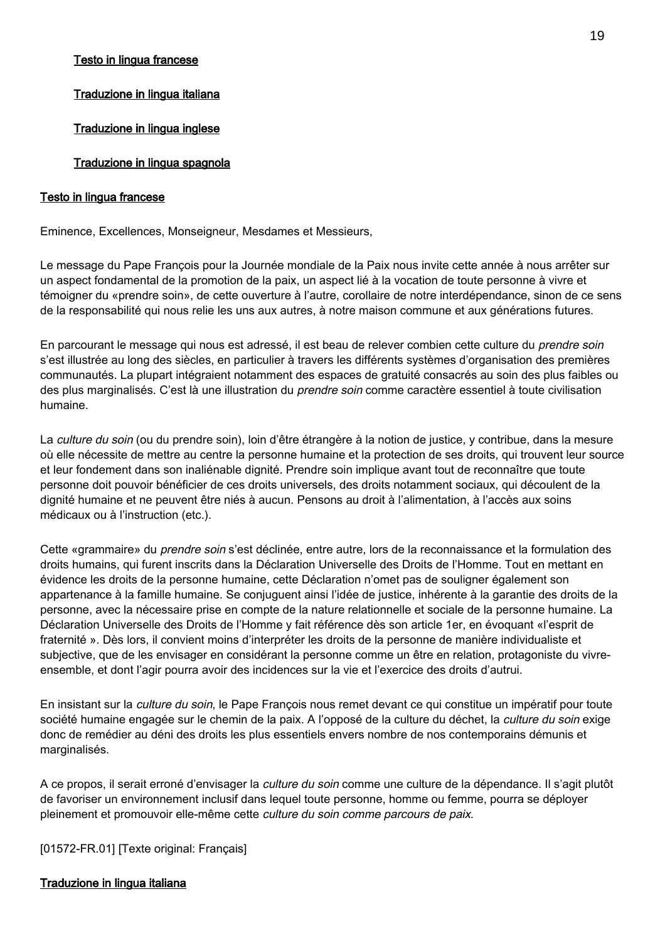## Testo in lingua francese

# Traduzione in lingua italiana

# Traduzione in lingua inglese

# Traduzione in lingua spagnola

## Testo in lingua francese

Eminence, Excellences, Monseigneur, Mesdames et Messieurs,

Le message du Pape François pour la Journée mondiale de la Paix nous invite cette année à nous arrêter sur un aspect fondamental de la promotion de la paix, un aspect lié à la vocation de toute personne à vivre et témoigner du «prendre soin», de cette ouverture à l'autre, corollaire de notre interdépendance, sinon de ce sens de la responsabilité qui nous relie les uns aux autres, à notre maison commune et aux générations futures.

En parcourant le message qui nous est adressé, il est beau de relever combien cette culture du *prendre soin* s'est illustrée au long des siècles, en particulier à travers les différents systèmes d'organisation des premières communautés. La plupart intégraient notamment des espaces de gratuité consacrés au soin des plus faibles ou des plus marginalisés. C'est là une illustration du *prendre soin* comme caractère essentiel à toute civilisation humaine.

La culture du soin (ou du prendre soin), loin d'être étrangère à la notion de justice, y contribue, dans la mesure où elle nécessite de mettre au centre la personne humaine et la protection de ses droits, qui trouvent leur source et leur fondement dans son inaliénable dignité. Prendre soin implique avant tout de reconnaître que toute personne doit pouvoir bénéficier de ces droits universels, des droits notamment sociaux, qui découlent de la dignité humaine et ne peuvent être niés à aucun. Pensons au droit à l'alimentation, à l'accès aux soins médicaux ou à l'instruction (etc.).

Cette «grammaire» du prendre soin s'est déclinée, entre autre, lors de la reconnaissance et la formulation des droits humains, qui furent inscrits dans la Déclaration Universelle des Droits de l'Homme. Tout en mettant en évidence les droits de la personne humaine, cette Déclaration n'omet pas de souligner également son appartenance à la famille humaine. Se conjuguent ainsi l'idée de justice, inhérente à la garantie des droits de la personne, avec la nécessaire prise en compte de la nature relationnelle et sociale de la personne humaine. La Déclaration Universelle des Droits de l'Homme y fait référence dès son article 1er, en évoquant «l'esprit de fraternité ». Dès lors, il convient moins d'interpréter les droits de la personne de manière individualiste et subjective, que de les envisager en considérant la personne comme un être en relation, protagoniste du vivreensemble, et dont l'agir pourra avoir des incidences sur la vie et l'exercice des droits d'autrui.

En insistant sur la culture du soin, le Pape François nous remet devant ce qui constitue un impératif pour toute société humaine engagée sur le chemin de la paix. A l'opposé de la culture du déchet, la culture du soin exige donc de remédier au déni des droits les plus essentiels envers nombre de nos contemporains démunis et marginalisés.

A ce propos, il serait erroné d'envisager la culture du soin comme une culture de la dépendance. Il s'agit plutôt de favoriser un environnement inclusif dans lequel toute personne, homme ou femme, pourra se déployer pleinement et promouvoir elle-même cette culture du soin comme parcours de paix.

[01572-FR.01] [Texte original: Français]

## Traduzione in lingua italiana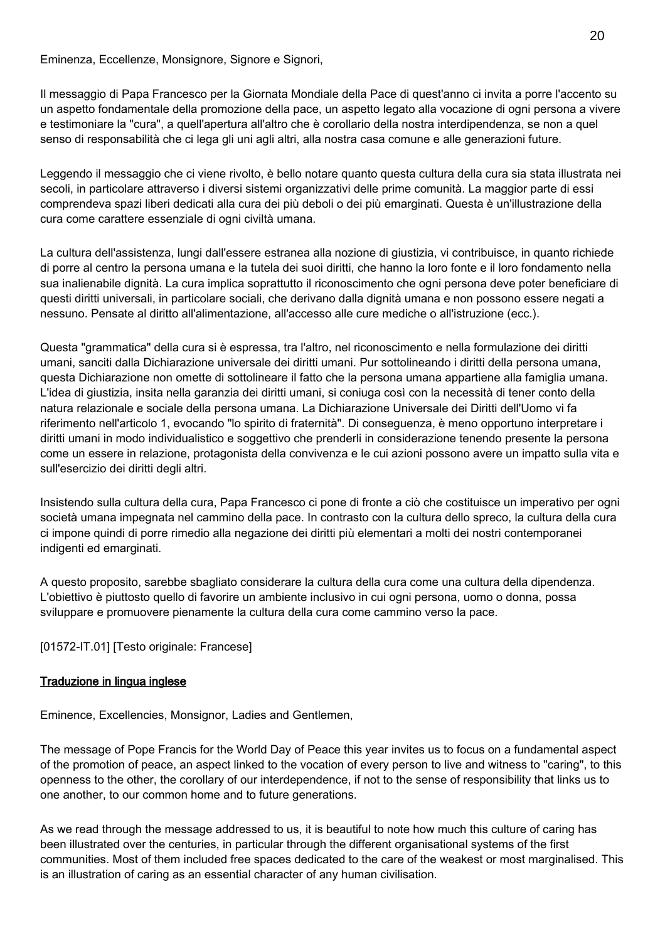Eminenza, Eccellenze, Monsignore, Signore e Signori,

Il messaggio di Papa Francesco per la Giornata Mondiale della Pace di quest'anno ci invita a porre l'accento su un aspetto fondamentale della promozione della pace, un aspetto legato alla vocazione di ogni persona a vivere e testimoniare la "cura", a quell'apertura all'altro che è corollario della nostra interdipendenza, se non a quel senso di responsabilità che ci lega gli uni agli altri, alla nostra casa comune e alle generazioni future.

Leggendo il messaggio che ci viene rivolto, è bello notare quanto questa cultura della cura sia stata illustrata nei secoli, in particolare attraverso i diversi sistemi organizzativi delle prime comunità. La maggior parte di essi comprendeva spazi liberi dedicati alla cura dei più deboli o dei più emarginati. Questa è un'illustrazione della cura come carattere essenziale di ogni civiltà umana.

La cultura dell'assistenza, lungi dall'essere estranea alla nozione di giustizia, vi contribuisce, in quanto richiede di porre al centro la persona umana e la tutela dei suoi diritti, che hanno la loro fonte e il loro fondamento nella sua inalienabile dignità. La cura implica soprattutto il riconoscimento che ogni persona deve poter beneficiare di questi diritti universali, in particolare sociali, che derivano dalla dignità umana e non possono essere negati a nessuno. Pensate al diritto all'alimentazione, all'accesso alle cure mediche o all'istruzione (ecc.).

Questa "grammatica" della cura si è espressa, tra l'altro, nel riconoscimento e nella formulazione dei diritti umani, sanciti dalla Dichiarazione universale dei diritti umani. Pur sottolineando i diritti della persona umana, questa Dichiarazione non omette di sottolineare il fatto che la persona umana appartiene alla famiglia umana. L'idea di giustizia, insita nella garanzia dei diritti umani, si coniuga così con la necessità di tener conto della natura relazionale e sociale della persona umana. La Dichiarazione Universale dei Diritti dell'Uomo vi fa riferimento nell'articolo 1, evocando "lo spirito di fraternità". Di conseguenza, è meno opportuno interpretare i diritti umani in modo individualistico e soggettivo che prenderli in considerazione tenendo presente la persona come un essere in relazione, protagonista della convivenza e le cui azioni possono avere un impatto sulla vita e sull'esercizio dei diritti degli altri.

Insistendo sulla cultura della cura, Papa Francesco ci pone di fronte a ciò che costituisce un imperativo per ogni società umana impegnata nel cammino della pace. In contrasto con la cultura dello spreco, la cultura della cura ci impone quindi di porre rimedio alla negazione dei diritti più elementari a molti dei nostri contemporanei indigenti ed emarginati.

A questo proposito, sarebbe sbagliato considerare la cultura della cura come una cultura della dipendenza. L'obiettivo è piuttosto quello di favorire un ambiente inclusivo in cui ogni persona, uomo o donna, possa sviluppare e promuovere pienamente la cultura della cura come cammino verso la pace.

[01572-IT.01] [Testo originale: Francese]

## Traduzione in lingua inglese

Eminence, Excellencies, Monsignor, Ladies and Gentlemen,

The message of Pope Francis for the World Day of Peace this year invites us to focus on a fundamental aspect of the promotion of peace, an aspect linked to the vocation of every person to live and witness to "caring", to this openness to the other, the corollary of our interdependence, if not to the sense of responsibility that links us to one another, to our common home and to future generations.

As we read through the message addressed to us, it is beautiful to note how much this culture of caring has been illustrated over the centuries, in particular through the different organisational systems of the first communities. Most of them included free spaces dedicated to the care of the weakest or most marginalised. This is an illustration of caring as an essential character of any human civilisation.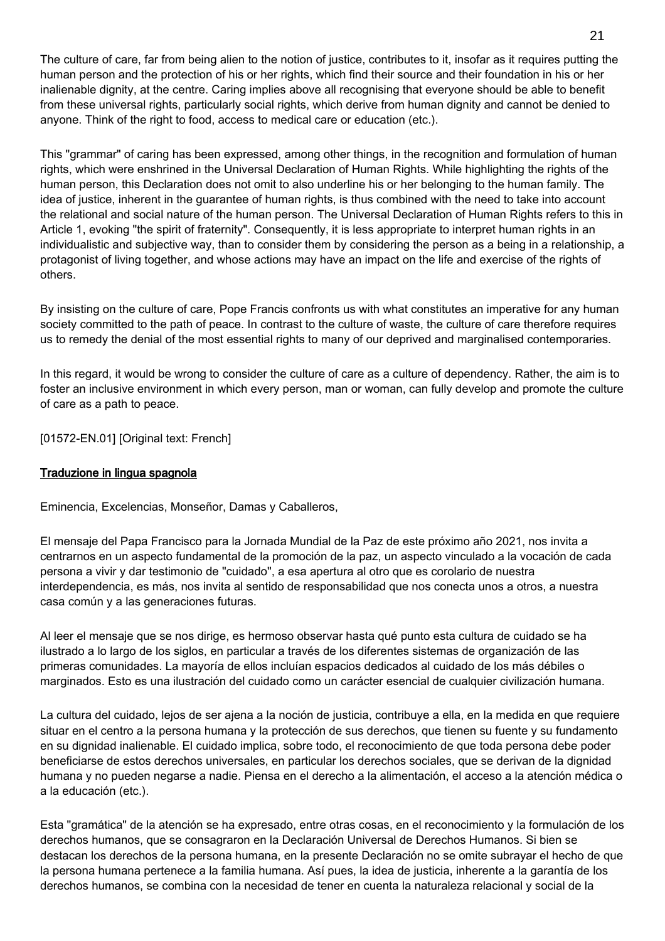The culture of care, far from being alien to the notion of justice, contributes to it, insofar as it requires putting the human person and the protection of his or her rights, which find their source and their foundation in his or her inalienable dignity, at the centre. Caring implies above all recognising that everyone should be able to benefit from these universal rights, particularly social rights, which derive from human dignity and cannot be denied to anyone. Think of the right to food, access to medical care or education (etc.).

This "grammar" of caring has been expressed, among other things, in the recognition and formulation of human rights, which were enshrined in the Universal Declaration of Human Rights. While highlighting the rights of the human person, this Declaration does not omit to also underline his or her belonging to the human family. The idea of justice, inherent in the guarantee of human rights, is thus combined with the need to take into account the relational and social nature of the human person. The Universal Declaration of Human Rights refers to this in Article 1, evoking "the spirit of fraternity". Consequently, it is less appropriate to interpret human rights in an individualistic and subjective way, than to consider them by considering the person as a being in a relationship, a protagonist of living together, and whose actions may have an impact on the life and exercise of the rights of others.

By insisting on the culture of care, Pope Francis confronts us with what constitutes an imperative for any human society committed to the path of peace. In contrast to the culture of waste, the culture of care therefore requires us to remedy the denial of the most essential rights to many of our deprived and marginalised contemporaries.

In this regard, it would be wrong to consider the culture of care as a culture of dependency. Rather, the aim is to foster an inclusive environment in which every person, man or woman, can fully develop and promote the culture of care as a path to peace.

[01572-EN.01] [Original text: French]

### Traduzione in lingua spagnola

Eminencia, Excelencias, Monseñor, Damas y Caballeros,

El mensaje del Papa Francisco para la Jornada Mundial de la Paz de este próximo año 2021, nos invita a centrarnos en un aspecto fundamental de la promoción de la paz, un aspecto vinculado a la vocación de cada persona a vivir y dar testimonio de "cuidado", a esa apertura al otro que es corolario de nuestra interdependencia, es más, nos invita al sentido de responsabilidad que nos conecta unos a otros, a nuestra casa común y a las generaciones futuras.

Al leer el mensaje que se nos dirige, es hermoso observar hasta qué punto esta cultura de cuidado se ha ilustrado a lo largo de los siglos, en particular a través de los diferentes sistemas de organización de las primeras comunidades. La mayoría de ellos incluían espacios dedicados al cuidado de los más débiles o marginados. Esto es una ilustración del cuidado como un carácter esencial de cualquier civilización humana.

La cultura del cuidado, lejos de ser ajena a la noción de justicia, contribuye a ella, en la medida en que requiere situar en el centro a la persona humana y la protección de sus derechos, que tienen su fuente y su fundamento en su dignidad inalienable. El cuidado implica, sobre todo, el reconocimiento de que toda persona debe poder beneficiarse de estos derechos universales, en particular los derechos sociales, que se derivan de la dignidad humana y no pueden negarse a nadie. Piensa en el derecho a la alimentación, el acceso a la atención médica o a la educación (etc.).

Esta "gramática" de la atención se ha expresado, entre otras cosas, en el reconocimiento y la formulación de los derechos humanos, que se consagraron en la Declaración Universal de Derechos Humanos. Si bien se destacan los derechos de la persona humana, en la presente Declaración no se omite subrayar el hecho de que la persona humana pertenece a la familia humana. Así pues, la idea de justicia, inherente a la garantía de los derechos humanos, se combina con la necesidad de tener en cuenta la naturaleza relacional y social de la